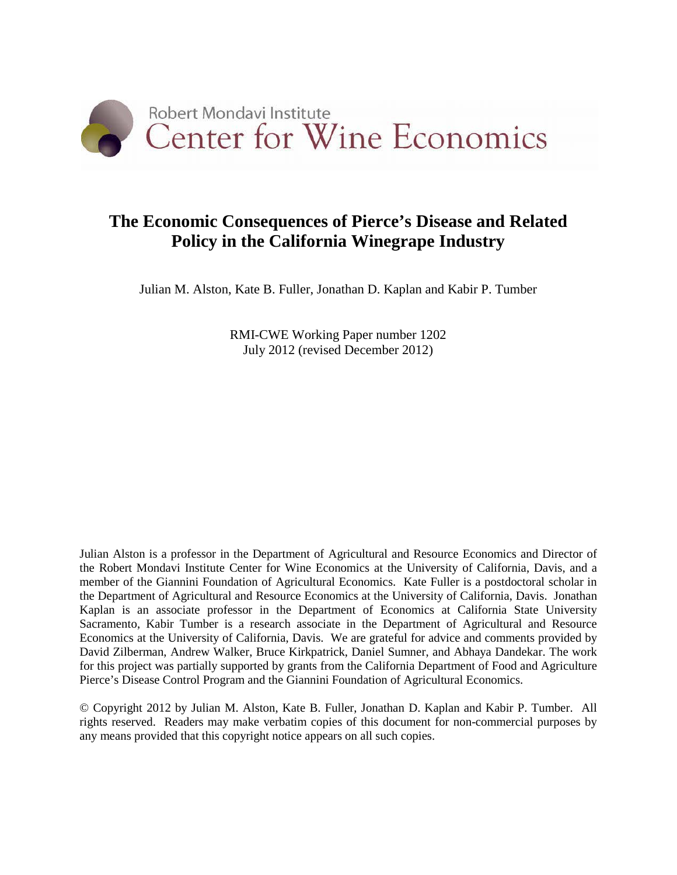

# **The Economic Consequences of Pierce's Disease and Related Policy in the California Winegrape Industry**

Julian M. Alston, Kate B. Fuller, Jonathan D. Kaplan and Kabir P. Tumber

RMI-CWE Working Paper number 1202 July 2012 (revised December 2012)

Julian Alston is a professor in the Department of Agricultural and Resource Economics and Director of the Robert Mondavi Institute Center for Wine Economics at the University of California, Davis, and a member of the Giannini Foundation of Agricultural Economics. Kate Fuller is a postdoctoral scholar in the Department of Agricultural and Resource Economics at the University of California, Davis. Jonathan Kaplan is an associate professor in the Department of Economics at California State University Sacramento, Kabir Tumber is a research associate in the Department of Agricultural and Resource Economics at the University of California, Davis. We are grateful for advice and comments provided by David Zilberman, Andrew Walker, Bruce Kirkpatrick, Daniel Sumner, and Abhaya Dandekar. The work for this project was partially supported by grants from the California Department of Food and Agriculture Pierce's Disease Control Program and the Giannini Foundation of Agricultural Economics.

© Copyright 2012 by Julian M. Alston, Kate B. Fuller, Jonathan D. Kaplan and Kabir P. Tumber. All rights reserved. Readers may make verbatim copies of this document for non-commercial purposes by any means provided that this copyright notice appears on all such copies.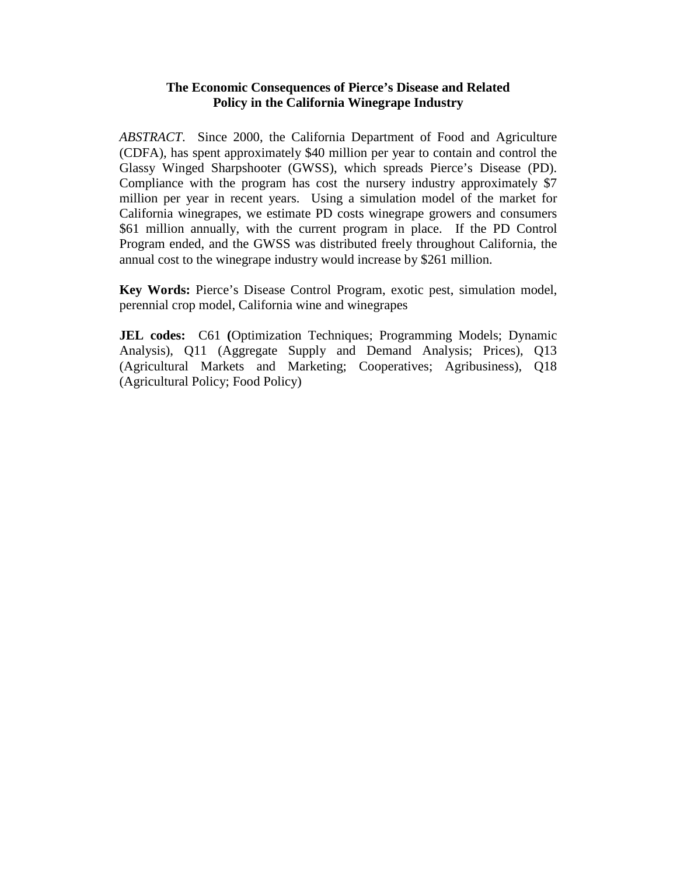## **The Economic Consequences of Pierce's Disease and Related Policy in the California Winegrape Industry**

*ABSTRACT*. Since 2000, the California Department of Food and Agriculture (CDFA), has spent approximately \$40 million per year to contain and control the Glassy Winged Sharpshooter (GWSS), which spreads Pierce's Disease (PD). Compliance with the program has cost the nursery industry approximately \$7 million per year in recent years. Using a simulation model of the market for California winegrapes, we estimate PD costs winegrape growers and consumers \$61 million annually, with the current program in place. If the PD Control Program ended, and the GWSS was distributed freely throughout California, the annual cost to the winegrape industry would increase by \$261 million.

**Key Words:** Pierce's Disease Control Program, exotic pest, simulation model, perennial crop model, California wine and winegrapes

**JEL codes:** C61 **(**Optimization Techniques; Programming Models; Dynamic Analysis), Q11 (Aggregate Supply and Demand Analysis; Prices), Q13 (Agricultural Markets and Marketing; Cooperatives; Agribusiness), Q18 (Agricultural Policy; Food Policy)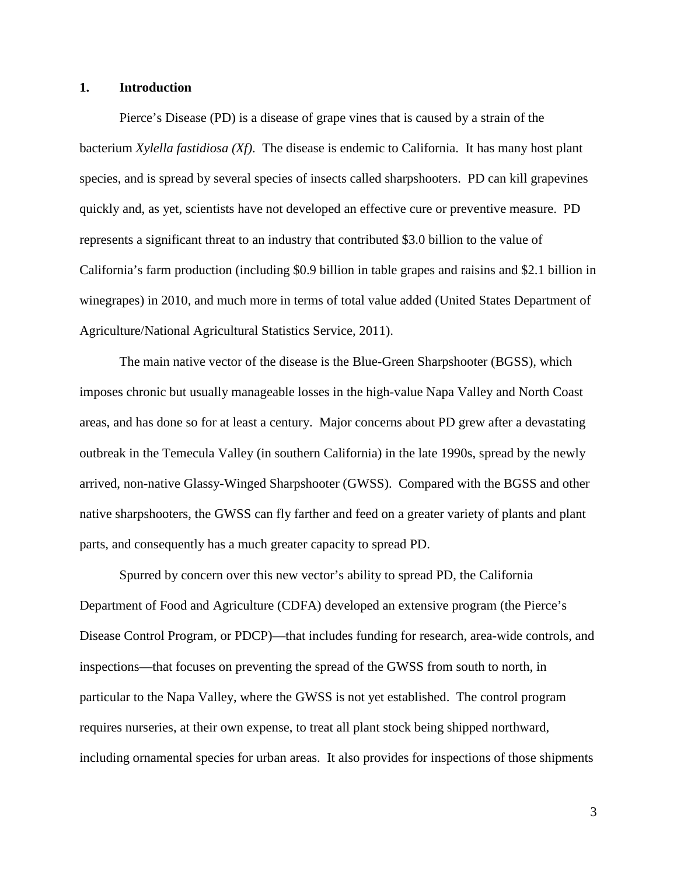## **1. Introduction**

Pierce's Disease (PD) is a disease of grape vines that is caused by a strain of the bacterium *Xylella fastidiosa (Xf)*. The disease is endemic to California. It has many host plant species, and is spread by several species of insects called sharpshooters. PD can kill grapevines quickly and, as yet, scientists have not developed an effective cure or preventive measure. PD represents a significant threat to an industry that contributed \$3.0 billion to the value of California's farm production (including \$0.9 billion in table grapes and raisins and \$2.1 billion in winegrapes) in 2010, and much more in terms of total value added [\(United States Department of](#page-27-0)  [Agriculture/National Agricultural Statistics Service, 2011\)](#page-27-0).

The main native vector of the disease is the Blue-Green Sharpshooter (BGSS), which imposes chronic but usually manageable losses in the high-value Napa Valley and North Coast areas, and has done so for at least a century. Major concerns about PD grew after a devastating outbreak in the Temecula Valley (in southern California) in the late 1990s, spread by the newly arrived, non-native Glassy-Winged Sharpshooter (GWSS). Compared with the BGSS and other native sharpshooters, the GWSS can fly farther and feed on a greater variety of plants and plant parts, and consequently has a much greater capacity to spread PD.

Spurred by concern over this new vector's ability to spread PD, the California Department of Food and Agriculture (CDFA) developed an extensive program (the Pierce's Disease Control Program, or PDCP)—that includes funding for research, area-wide controls, and inspections—that focuses on preventing the spread of the GWSS from south to north, in particular to the Napa Valley, where the GWSS is not yet established. The control program requires nurseries, at their own expense, to treat all plant stock being shipped northward, including ornamental species for urban areas. It also provides for inspections of those shipments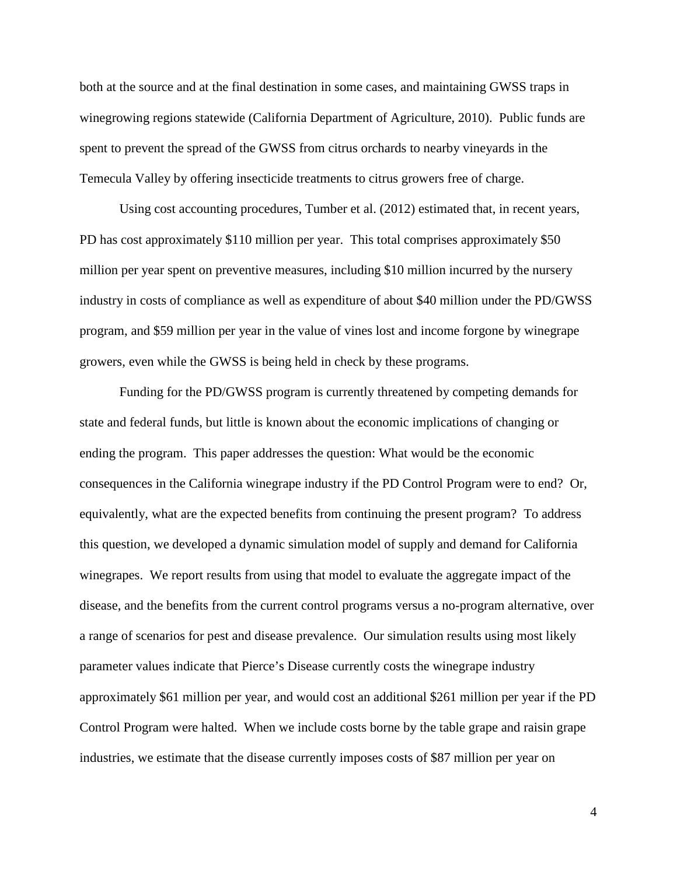both at the source and at the final destination in some cases, and maintaining GWSS traps in winegrowing regions statewide [\(California Department of Agriculture, 2010\)](#page-27-1). Public funds are spent to prevent the spread of the GWSS from citrus orchards to nearby vineyards in the Temecula Valley by offering insecticide treatments to citrus growers free of charge.

Using cost accounting procedures, Tumber et al. (2012) estimated that, in recent years, PD has cost approximately \$110 million per year. This total comprises approximately \$50 million per year spent on preventive measures, including \$10 million incurred by the nursery industry in costs of compliance as well as expenditure of about \$40 million under the PD/GWSS program, and \$59 million per year in the value of vines lost and income forgone by winegrape growers, even while the GWSS is being held in check by these programs.

Funding for the PD/GWSS program is currently threatened by competing demands for state and federal funds, but little is known about the economic implications of changing or ending the program. This paper addresses the question: What would be the economic consequences in the California winegrape industry if the PD Control Program were to end? Or, equivalently, what are the expected benefits from continuing the present program? To address this question, we developed a dynamic simulation model of supply and demand for California winegrapes. We report results from using that model to evaluate the aggregate impact of the disease, and the benefits from the current control programs versus a no-program alternative, over a range of scenarios for pest and disease prevalence. Our simulation results using most likely parameter values indicate that Pierce's Disease currently costs the winegrape industry approximately \$61 million per year, and would cost an additional \$261 million per year if the PD Control Program were halted. When we include costs borne by the table grape and raisin grape industries, we estimate that the disease currently imposes costs of \$87 million per year on

4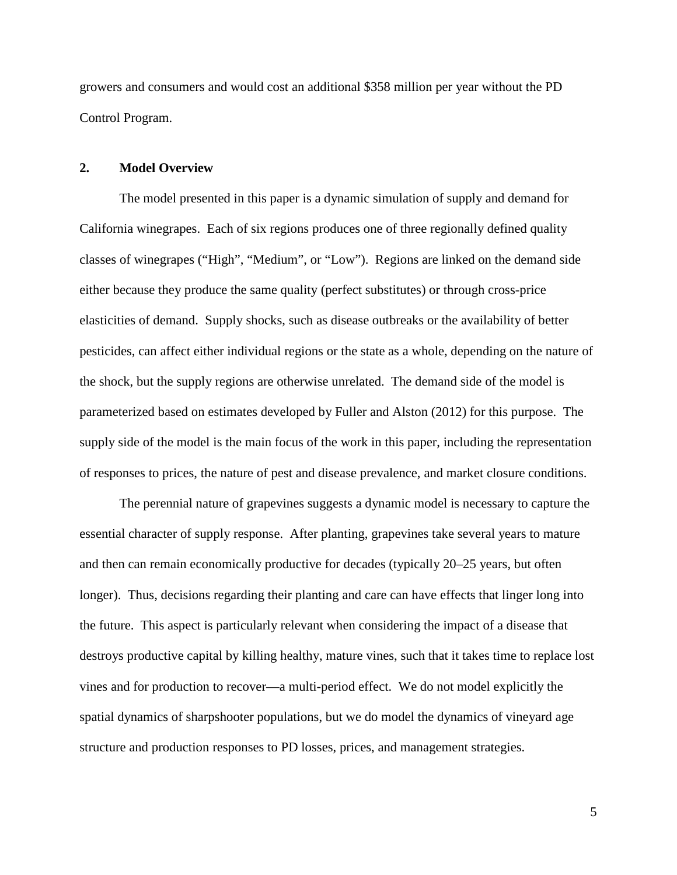growers and consumers and would cost an additional \$358 million per year without the PD Control Program.

#### **2. Model Overview**

The model presented in this paper is a dynamic simulation of supply and demand for California winegrapes. Each of six regions produces one of three regionally defined quality classes of winegrapes ("High", "Medium", or "Low"). Regions are linked on the demand side either because they produce the same quality (perfect substitutes) or through cross-price elasticities of demand. Supply shocks, such as disease outbreaks or the availability of better pesticides, can affect either individual regions or the state as a whole, depending on the nature of the shock, but the supply regions are otherwise unrelated. The demand side of the model is parameterized based on estimates developed by Fuller and Alston [\(2012\)](#page-27-2) for this purpose. The supply side of the model is the main focus of the work in this paper, including the representation of responses to prices, the nature of pest and disease prevalence, and market closure conditions.

The perennial nature of grapevines suggests a dynamic model is necessary to capture the essential character of supply response. After planting, grapevines take several years to mature and then can remain economically productive for decades (typically 20–25 years, but often longer). Thus, decisions regarding their planting and care can have effects that linger long into the future. This aspect is particularly relevant when considering the impact of a disease that destroys productive capital by killing healthy, mature vines, such that it takes time to replace lost vines and for production to recover—a multi-period effect. We do not model explicitly the spatial dynamics of sharpshooter populations, but we do model the dynamics of vineyard age structure and production responses to PD losses, prices, and management strategies.

5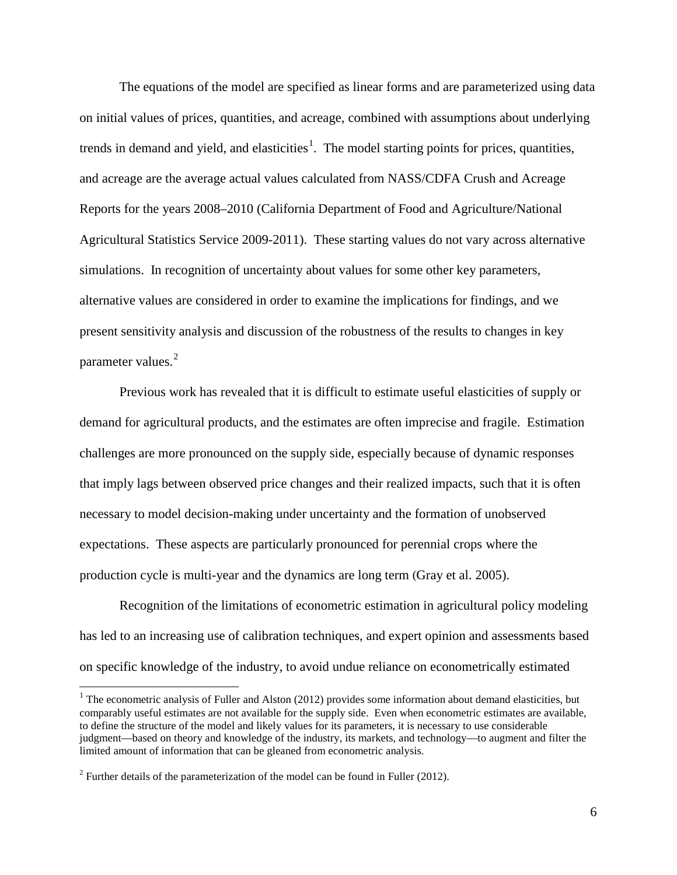The equations of the model are specified as linear forms and are parameterized using data on initial values of prices, quantities, and acreage, combined with assumptions about underlying trends in demand and yield, and elasticities<sup>[1](#page-5-0)</sup>. The model starting points for prices, quantities, and acreage are the average actual values calculated from NASS/CDFA Crush and Acreage Reports for the years 2008–2010 (California Department of Food and Agriculture/National Agricultural Statistics Service 2009-2011). These starting values do not vary across alternative simulations. In recognition of uncertainty about values for some other key parameters, alternative values are considered in order to examine the implications for findings, and we present sensitivity analysis and discussion of the robustness of the results to changes in key parameter values.<sup>[2](#page-5-1)</sup>

Previous work has revealed that it is difficult to estimate useful elasticities of supply or demand for agricultural products, and the estimates are often imprecise and fragile. Estimation challenges are more pronounced on the supply side, especially because of dynamic responses that imply lags between observed price changes and their realized impacts, such that it is often necessary to model decision-making under uncertainty and the formation of unobserved expectations. These aspects are particularly pronounced for perennial crops where the production cycle is multi-year and the dynamics are long term [\(Gray](#page-27-3) et al. 2005).

Recognition of the limitations of econometric estimation in agricultural policy modeling has led to an increasing use of calibration techniques, and expert opinion and assessments based on specific knowledge of the industry, to avoid undue reliance on econometrically estimated

<span id="page-5-0"></span> $1$  The econometric analysis of Fuller and Alston [\(2012\)](#page-27-2) provides some information about demand elasticities, but comparably useful estimates are not available for the supply side. Even when econometric estimates are available, to define the structure of the model and likely values for its parameters, it is necessary to use considerable judgment—based on theory and knowledge of the industry, its markets, and technology—to augment and filter the limited amount of information that can be gleaned from econometric analysis.

<span id="page-5-1"></span> $2$  Further details of the parameterization of the model can be found in Fuller (2012).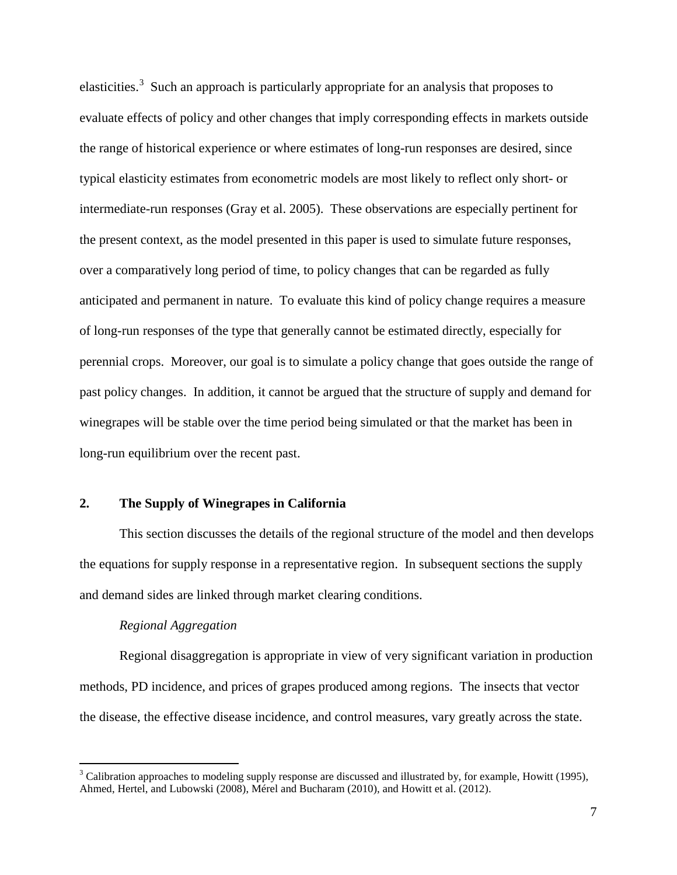elasticities.<sup>[3](#page-6-0)</sup> Such an approach is particularly appropriate for an analysis that proposes to evaluate effects of policy and other changes that imply corresponding effects in markets outside the range of historical experience or where estimates of long-run responses are desired, since typical elasticity estimates from econometric models are most likely to reflect only short- or intermediate-run responses (Gray [et al. 2005\)](#page-27-3). These observations are especially pertinent for the present context, as the model presented in this paper is used to simulate future responses, over a comparatively long period of time, to policy changes that can be regarded as fully anticipated and permanent in nature. To evaluate this kind of policy change requires a measure of long-run responses of the type that generally cannot be estimated directly, especially for perennial crops. Moreover, our goal is to simulate a policy change that goes outside the range of past policy changes. In addition, it cannot be argued that the structure of supply and demand for winegrapes will be stable over the time period being simulated or that the market has been in long-run equilibrium over the recent past.

## **2. The Supply of Winegrapes in California**

This section discusses the details of the regional structure of the model and then develops the equations for supply response in a representative region. In subsequent sections the supply and demand sides are linked through market clearing conditions.

## *Regional Aggregation*

Regional disaggregation is appropriate in view of very significant variation in production methods, PD incidence, and prices of grapes produced among regions. The insects that vector the disease, the effective disease incidence, and control measures, vary greatly across the state.

<span id="page-6-0"></span> $3$  Calibration approaches to modeling supply response are discussed and illustrated by, for example, Howitt (1995), Ahmed, Hertel, and Lubowski (2008), Mérel and Bucharam (2010), and Howitt et al. (2012).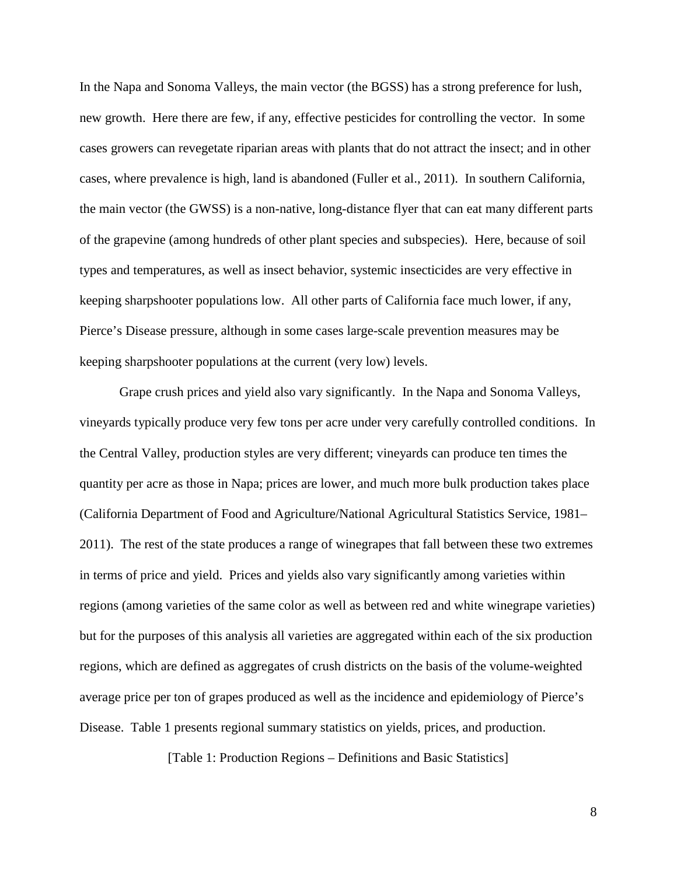In the Napa and Sonoma Valleys, the main vector (the BGSS) has a strong preference for lush, new growth. Here there are few, if any, effective pesticides for controlling the vector. In some cases growers can revegetate riparian areas with plants that do not attract the insect; and in other cases, where prevalence is high, land is abandoned [\(Fuller et al., 2011\)](#page-27-4). In southern California, the main vector (the GWSS) is a non-native, long-distance flyer that can eat many different parts of the grapevine (among hundreds of other plant species and subspecies). Here, because of soil types and temperatures, as well as insect behavior, systemic insecticides are very effective in keeping sharpshooter populations low. All other parts of California face much lower, if any, Pierce's Disease pressure, although in some cases large-scale prevention measures may be keeping sharpshooter populations at the current (very low) levels.

Grape crush prices and yield also vary significantly. In the Napa and Sonoma Valleys, vineyards typically produce very few tons per acre under very carefully controlled conditions. In the Central Valley, production styles are very different; vineyards can produce ten times the quantity per acre as those in Napa; prices are lower, and much more bulk production takes place [\(California Department of Food and Agriculture/National Agricultural Statistics Service, 1981–](#page-27-5) [2011\)](#page-27-5). The rest of the state produces a range of winegrapes that fall between these two extremes in terms of price and yield. Prices and yields also vary significantly among varieties within regions (among varieties of the same color as well as between red and white winegrape varieties) but for the purposes of this analysis all varieties are aggregated within each of the six production regions, which are defined as aggregates of crush districts on the basis of the volume-weighted average price per ton of grapes produced as well as the incidence and epidemiology of Pierce's Disease. Table 1 presents regional summary statistics on yields, prices, and production.

[Table 1: Production Regions – Definitions and Basic Statistics]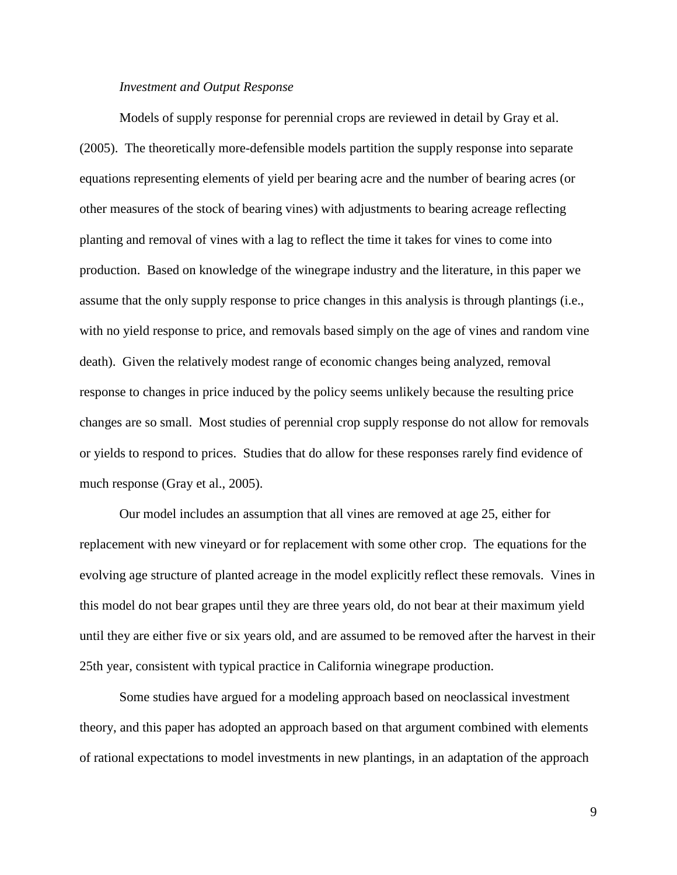#### *Investment and Output Response*

Models of supply response for perennial crops are reviewed in detail by Gray et al. [\(2005\)](#page-27-3). The theoretically more-defensible models partition the supply response into separate equations representing elements of yield per bearing acre and the number of bearing acres (or other measures of the stock of bearing vines) with adjustments to bearing acreage reflecting planting and removal of vines with a lag to reflect the time it takes for vines to come into production. Based on knowledge of the winegrape industry and the literature, in this paper we assume that the only supply response to price changes in this analysis is through plantings (i.e., with no yield response to price, and removals based simply on the age of vines and random vine death). Given the relatively modest range of economic changes being analyzed, removal response to changes in price induced by the policy seems unlikely because the resulting price changes are so small. Most studies of perennial crop supply response do not allow for removals or yields to respond to prices. Studies that do allow for these responses rarely find evidence of much response [\(Gray et al., 2005\)](#page-27-3).

Our model includes an assumption that all vines are removed at age 25, either for replacement with new vineyard or for replacement with some other crop. The equations for the evolving age structure of planted acreage in the model explicitly reflect these removals. Vines in this model do not bear grapes until they are three years old, do not bear at their maximum yield until they are either five or six years old, and are assumed to be removed after the harvest in their 25th year, consistent with typical practice in California winegrape production.

Some studies have argued for a modeling approach based on neoclassical investment theory, and this paper has adopted an approach based on that argument combined with elements of rational expectations to model investments in new plantings, in an adaptation of the approach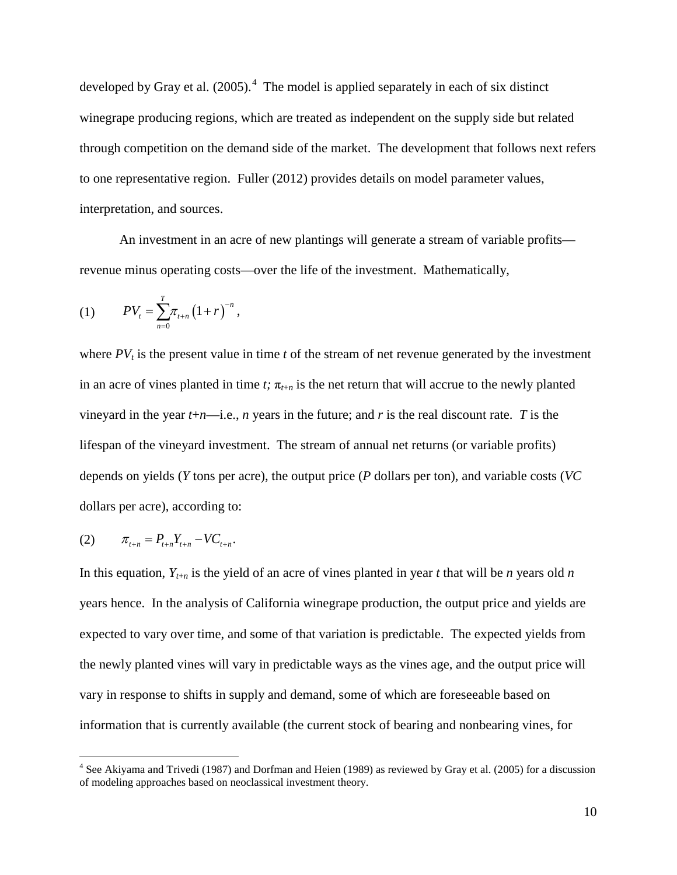developed by Gray et al.  $(2005)$ .<sup>[4](#page-9-0)</sup> The model is applied separately in each of six distinct winegrape producing regions, which are treated as independent on the supply side but related through competition on the demand side of the market. The development that follows next refers to one representative region. Fuller (2012) provides details on model parameter values, interpretation, and sources.

An investment in an acre of new plantings will generate a stream of variable profits revenue minus operating costs—over the life of the investment. Mathematically,

(1) 
$$
PV_{t} = \sum_{n=0}^{T} \pi_{t+n} (1+r)^{-n},
$$

where  $PV<sub>t</sub>$  is the present value in time *t* of the stream of net revenue generated by the investment in an acre of vines planted in time *t*;  $\pi_{t+n}$  is the net return that will accrue to the newly planted vineyard in the year  $t+n$ —i.e., *n* years in the future; and *r* is the real discount rate. *T* is the lifespan of the vineyard investment. The stream of annual net returns (or variable profits) depends on yields (*Y* tons per acre), the output price (*P* dollars per ton), and variable costs (*VC*  dollars per acre), according to:

(2) 
$$
\pi_{t+n} = P_{t+n} Y_{t+n} - V C_{t+n}.
$$

In this equation,  $Y_{t+n}$  is the yield of an acre of vines planted in year *t* that will be *n* years old *n* years hence. In the analysis of California winegrape production, the output price and yields are expected to vary over time, and some of that variation is predictable. The expected yields from the newly planted vines will vary in predictable ways as the vines age, and the output price will vary in response to shifts in supply and demand, some of which are foreseeable based on information that is currently available (the current stock of bearing and nonbearing vines, for

<span id="page-9-0"></span><sup>&</sup>lt;sup>4</sup> See Akiyama and Trivedi (1987) and Dorfman and Heien (1989) as reviewed by Gray et al. (2005) for a discussion of modeling approaches based on neoclassical investment theory.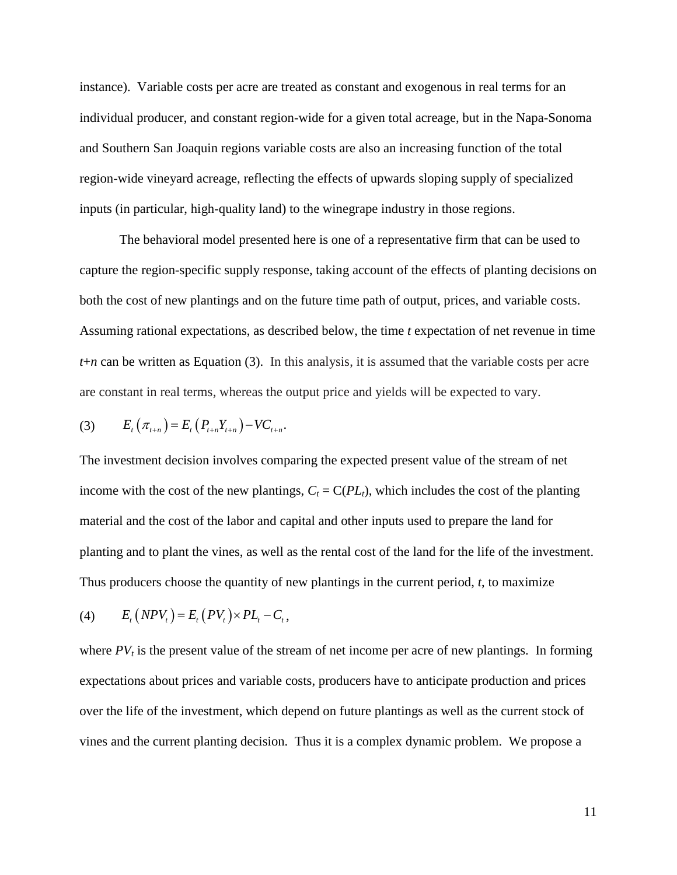instance). Variable costs per acre are treated as constant and exogenous in real terms for an individual producer, and constant region-wide for a given total acreage, but in the Napa-Sonoma and Southern San Joaquin regions variable costs are also an increasing function of the total region-wide vineyard acreage, reflecting the effects of upwards sloping supply of specialized inputs (in particular, high-quality land) to the winegrape industry in those regions.

The behavioral model presented here is one of a representative firm that can be used to capture the region-specific supply response, taking account of the effects of planting decisions on both the cost of new plantings and on the future time path of output, prices, and variable costs. Assuming rational expectations, as described below, the time *t* expectation of net revenue in time *t*+*n* can be written as Equation (3). In this analysis, it is assumed that the variable costs per acre are constant in real terms, whereas the output price and yields will be expected to vary.

(3) 
$$
E_t(\pi_{t+n}) = E_t(P_{t+n}Y_{t+n}) - VC_{t+n}.
$$

The investment decision involves comparing the expected present value of the stream of net income with the cost of the new plantings,  $C_t = C(PL_t)$ , which includes the cost of the planting material and the cost of the labor and capital and other inputs used to prepare the land for planting and to plant the vines, as well as the rental cost of the land for the life of the investment. Thus producers choose the quantity of new plantings in the current period, *t*, to maximize

$$
(4) \qquad E_t\left(NPV_t\right) = E_t\left(PV_t\right) \times PL_t - C_t,
$$

where  $PV<sub>t</sub>$  is the present value of the stream of net income per acre of new plantings. In forming expectations about prices and variable costs, producers have to anticipate production and prices over the life of the investment, which depend on future plantings as well as the current stock of vines and the current planting decision. Thus it is a complex dynamic problem. We propose a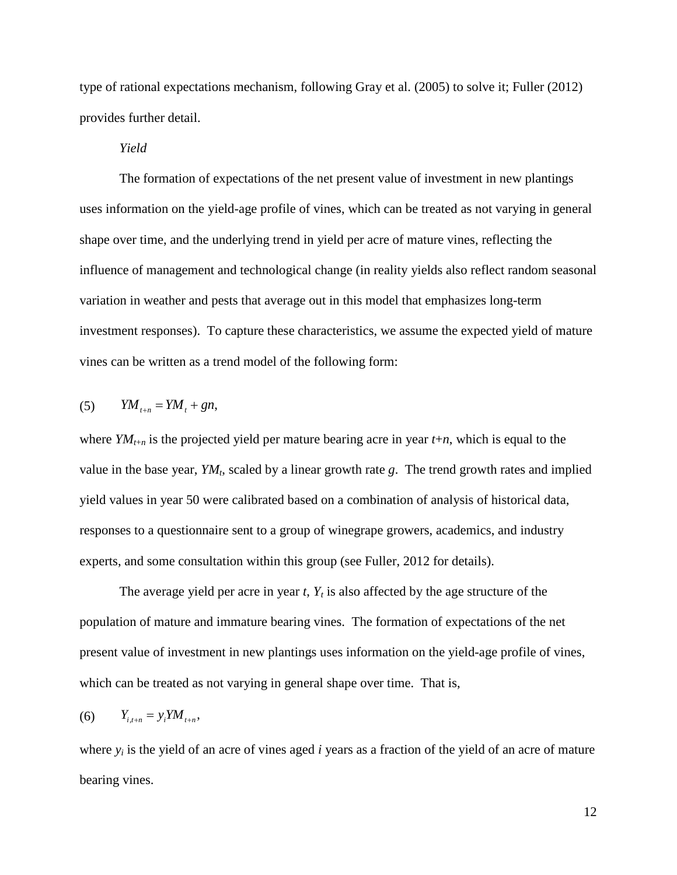type of rational expectations mechanism, following Gray et al. (2005) to solve it; Fuller (2012) provides further detail.

## *Yield*

The formation of expectations of the net present value of investment in new plantings uses information on the yield-age profile of vines, which can be treated as not varying in general shape over time, and the underlying trend in yield per acre of mature vines, reflecting the influence of management and technological change (in reality yields also reflect random seasonal variation in weather and pests that average out in this model that emphasizes long-term investment responses). To capture these characteristics, we assume the expected yield of mature vines can be written as a trend model of the following form:

$$
(5) \qquad YM_{t+n} = YM_t + gn,
$$

where  $YM_{t+n}$  is the projected yield per mature bearing acre in year  $t+n$ , which is equal to the value in the base year,  $YM_t$ , scaled by a linear growth rate g. The trend growth rates and implied yield values in year 50 were calibrated based on a combination of analysis of historical data, responses to a questionnaire sent to a group of winegrape growers, academics, and industry experts, and some consultation within this group (see Fuller, 2012 for details).

The average yield per acre in year  $t$ ,  $Y_t$  is also affected by the age structure of the population of mature and immature bearing vines. The formation of expectations of the net present value of investment in new plantings uses information on the yield-age profile of vines, which can be treated as not varying in general shape over time. That is,

$$
(6) \qquad Y_{i,t+n} = y_i Y M_{t+n},
$$

where *yi* is the yield of an acre of vines aged *i* years as a fraction of the yield of an acre of mature bearing vines.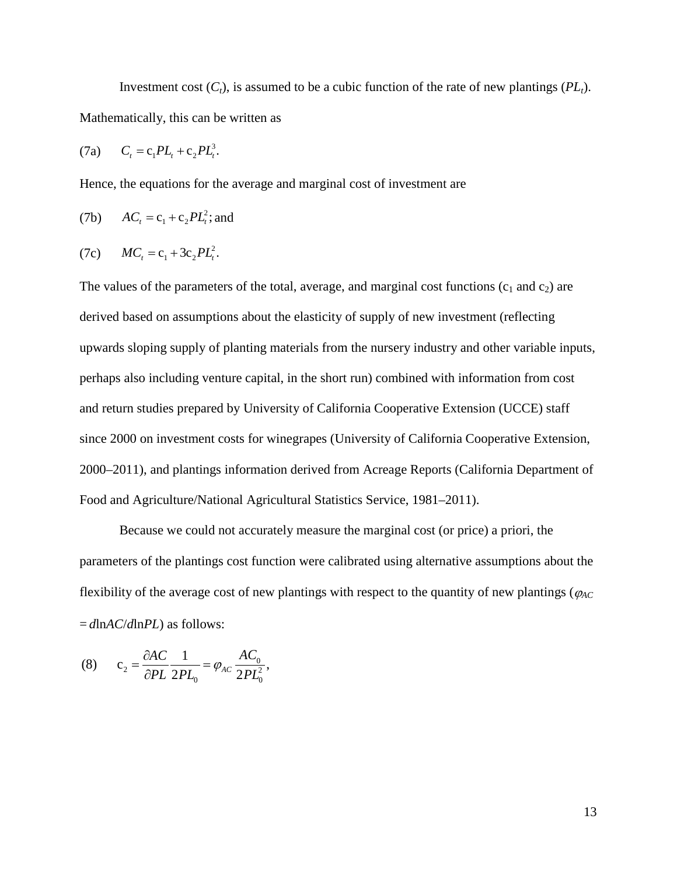Investment cost  $(C_t)$ , is assumed to be a cubic function of the rate of new plantings  $(PL_t)$ . Mathematically, this can be written as

(7a) 
$$
C_t = c_1 PL_t + c_2 PL_t^3
$$
.

Hence, the equations for the average and marginal cost of investment are

(7b) 
$$
AC_t = c_1 + c_2 PL_t^2
$$
; and

(7c) 
$$
MC_t = c_1 + 3c_2PL_t^2.
$$

The values of the parameters of the total, average, and marginal cost functions  $(c_1$  and  $c_2$ ) are derived based on assumptions about the elasticity of supply of new investment (reflecting upwards sloping supply of planting materials from the nursery industry and other variable inputs, perhaps also including venture capital, in the short run) combined with information from cost and return studies prepared by University of California Cooperative Extension (UCCE) staff since 2000 on investment costs for winegrapes [\(University of California Cooperative Extension,](#page-28-0)  [2000–2011\)](#page-28-0), and plantings information derived from Acreage Reports [\(California Department of](#page-27-6)  [Food and Agriculture/National Agricultural Statistics Service, 1981–2011\)](#page-27-6).

Because we could not accurately measure the marginal cost (or price) a priori, the parameters of the plantings cost function were calibrated using alternative assumptions about the flexibility of the average cost of new plantings with respect to the quantity of new plantings ( $\varphi_{AC}$ = *d*ln*AC*/*d*ln*PL*) as follows:

(8) 
$$
c_2 = \frac{\partial AC}{\partial PL} \frac{1}{2PL_0} = \varphi_{AC} \frac{AC_0}{2PL_0^2},
$$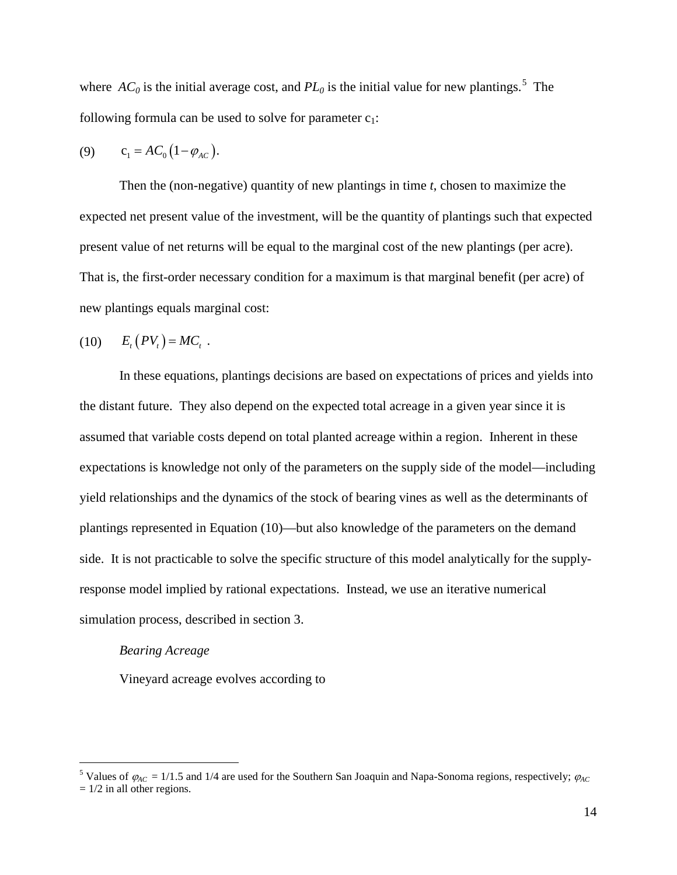where  $AC_0$  is the initial average cost, and  $PL_0$  is the initial value for new plantings.<sup>[5](#page-13-0)</sup> The following formula can be used to solve for parameter  $c_1$ :

(9) 
$$
c_1 = AC_0(1 - \varphi_{AC})
$$
.

Then the (non-negative) quantity of new plantings in time *t*, chosen to maximize the expected net present value of the investment, will be the quantity of plantings such that expected present value of net returns will be equal to the marginal cost of the new plantings (per acre). That is, the first-order necessary condition for a maximum is that marginal benefit (per acre) of new plantings equals marginal cost:

$$
(10) \t E_t(PV_t) = MC_t.
$$

In these equations, plantings decisions are based on expectations of prices and yields into the distant future. They also depend on the expected total acreage in a given year since it is assumed that variable costs depend on total planted acreage within a region. Inherent in these expectations is knowledge not only of the parameters on the supply side of the model—including yield relationships and the dynamics of the stock of bearing vines as well as the determinants of plantings represented in Equation (10)—but also knowledge of the parameters on the demand side. It is not practicable to solve the specific structure of this model analytically for the supplyresponse model implied by rational expectations. Instead, we use an iterative numerical simulation process, described in section 3.

### *Bearing Acreage*

Vineyard acreage evolves according to

<span id="page-13-0"></span><sup>&</sup>lt;sup>5</sup> Values of  $\varphi_{AC} = 1/1.5$  and 1/4 are used for the Southern San Joaquin and Napa-Sonoma regions, respectively;  $\varphi_{AC}$  $= 1/2$  in all other regions.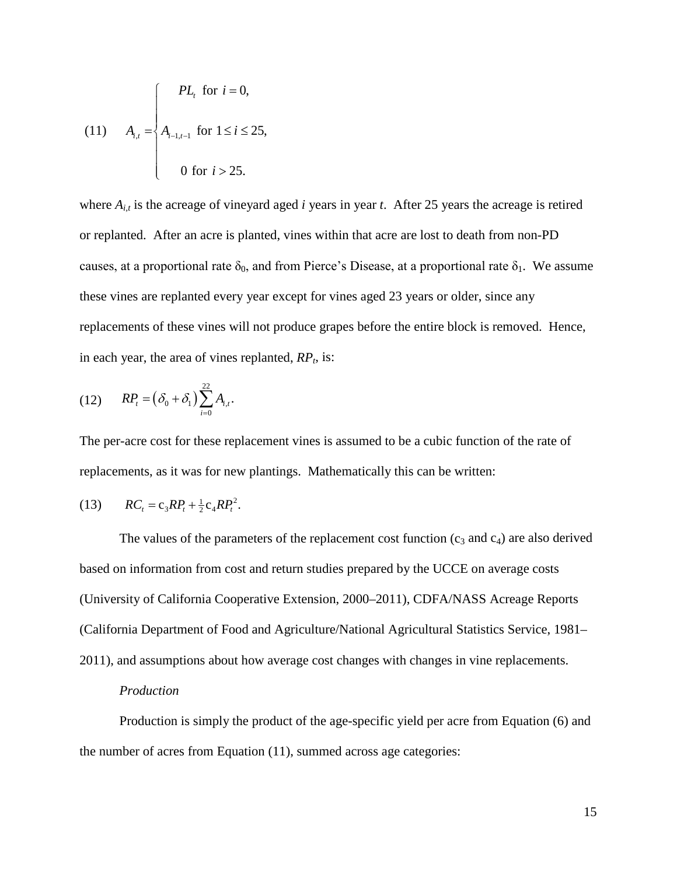(11) 
$$
A_{i,t} = \begin{cases} PL_t & \text{for } i = 0, \\ A_{i-1,t-1} & \text{for } 1 \le i \le 25, \\ 0 & \text{for } i > 25. \end{cases}
$$

where  $A_{i,t}$  is the acreage of vineyard aged *i* years in year *t*. After 25 years the acreage is retired or replanted. After an acre is planted, vines within that acre are lost to death from non-PD causes, at a proportional rate  $\delta_0$ , and from Pierce's Disease, at a proportional rate  $\delta_1$ . We assume these vines are replanted every year except for vines aged 23 years or older, since any replacements of these vines will not produce grapes before the entire block is removed. Hence, in each year, the area of vines replanted,  $RP<sub>t</sub>$ , is:

(12) 
$$
RP_t = (\delta_0 + \delta_1) \sum_{i=0}^{22} A_{i,t}.
$$

The per-acre cost for these replacement vines is assumed to be a cubic function of the rate of replacements, as it was for new plantings. Mathematically this can be written:

(13) 
$$
RC_t = c_3 R P_t + \frac{1}{2} c_4 R P_t^2.
$$

The values of the parameters of the replacement cost function  $(c_3 \text{ and } c_4)$  are also derived based on information from cost and return studies prepared by the UCCE on average costs [\(University of California Cooperative Extension, 2000–2011\)](#page-28-0), CDFA/NASS Acreage Reports [\(California Department of Food and Agriculture/National Agricultural Statistics Service, 1981–](#page-27-6) [2011\)](#page-27-6), and assumptions about how average cost changes with changes in vine replacements.

#### *Production*

Production is simply the product of the age-specific yield per acre from Equation (6) and the number of acres from Equation (11), summed across age categories: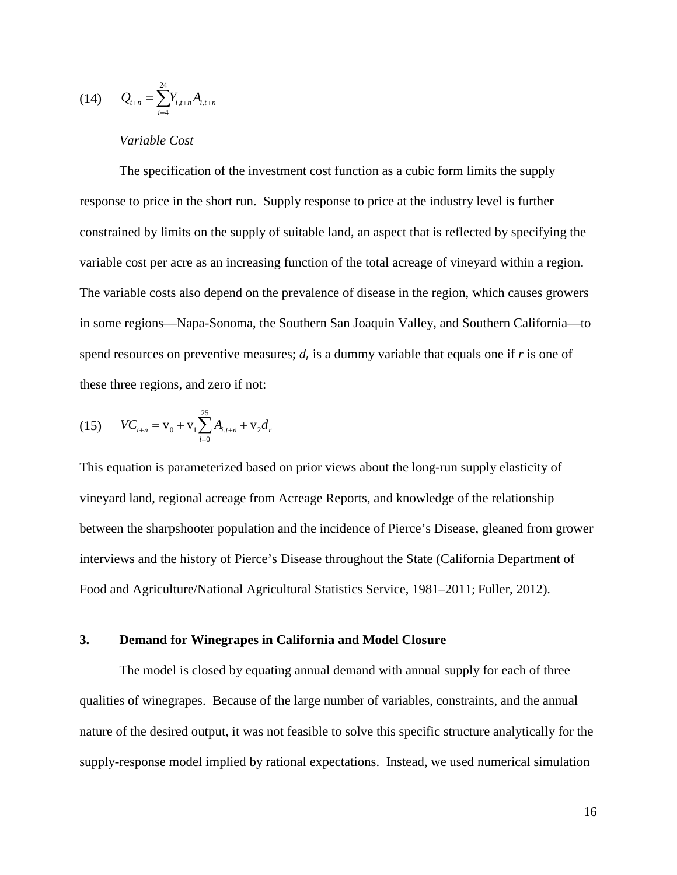$$
(14) \qquad Q_{t+n} = \sum_{i=4}^{24} Y_{i,t+n} A_{i,t+n}
$$

## *Variable Cost*

The specification of the investment cost function as a cubic form limits the supply response to price in the short run. Supply response to price at the industry level is further constrained by limits on the supply of suitable land, an aspect that is reflected by specifying the variable cost per acre as an increasing function of the total acreage of vineyard within a region. The variable costs also depend on the prevalence of disease in the region, which causes growers in some regions—Napa-Sonoma, the Southern San Joaquin Valley, and Southern California—to spend resources on preventive measures;  $d_r$  is a dummy variable that equals one if  $r$  is one of these three regions, and zero if not:

(15) 
$$
VC_{t+n} = V_0 + V_1 \sum_{i=0}^{25} A_{i,t+n} + V_2 d_r
$$

This equation is parameterized based on prior views about the long-run supply elasticity of vineyard land, regional acreage from Acreage Reports, and knowledge of the relationship between the sharpshooter population and the incidence of Pierce's Disease, gleaned from grower interviews and the history of Pierce's Disease throughout the State [\(California Department of](#page-27-6)  [Food and Agriculture/National Agricultural Statistics Service, 1981–2011;](#page-27-6) Fuller, 2012).

## **3. Demand for Winegrapes in California and Model Closure**

The model is closed by equating annual demand with annual supply for each of three qualities of winegrapes. Because of the large number of variables, constraints, and the annual nature of the desired output, it was not feasible to solve this specific structure analytically for the supply-response model implied by rational expectations. Instead, we used numerical simulation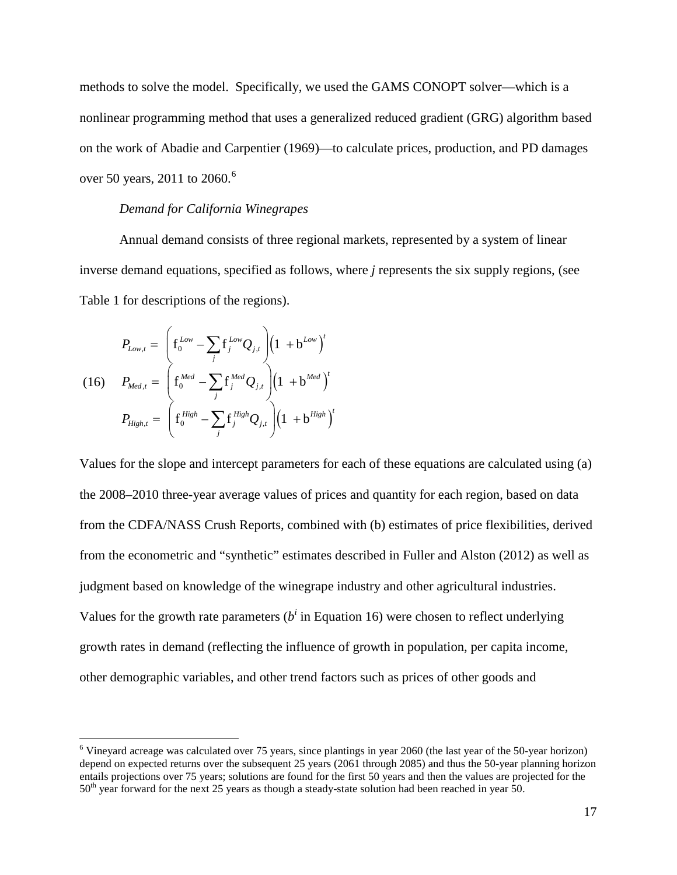methods to solve the model. Specifically, we used the GAMS CONOPT solver—which is a nonlinear programming method that uses a generalized reduced gradient (GRG) algorithm based on the work of Abadie and Carpentier [\(1969\)](#page-27-7)—to calculate prices, production, and PD damages over 50 years, 2011 to 20[6](#page-16-0)0.<sup>6</sup>

#### *Demand for California Winegrapes*

Annual demand consists of three regional markets, represented by a system of linear inverse demand equations, specified as follows, where *j* represents the six supply regions, (see Table 1 for descriptions of the regions).

$$
P_{Low,t} = \left(\mathbf{f}_{0}^{Low} - \sum_{j} \mathbf{f}_{j}^{Low} Q_{j,t}\right) \left(1 + \mathbf{b}^{Low}\right)^{t}
$$
  
(16) 
$$
P_{Med,t} = \left(\mathbf{f}_{0}^{Med} - \sum_{j} \mathbf{f}_{j}^{Med} Q_{j,t}\right) \left(1 + \mathbf{b}^{Med}\right)^{t}
$$

$$
P_{High,t} = \left(\mathbf{f}_{0}^{High} - \sum_{j} \mathbf{f}_{j}^{High} Q_{j,t}\right) \left(1 + \mathbf{b}^{High}\right)^{t}
$$

Values for the slope and intercept parameters for each of these equations are calculated using (a) the 2008–2010 three-year average values of prices and quantity for each region, based on data from the CDFA/NASS Crush Reports, combined with (b) estimates of price flexibilities, derived from the econometric and "synthetic" estimates described in Fuller and Alston [\(2012\)](#page-27-2) as well as judgment based on knowledge of the winegrape industry and other agricultural industries. Values for the growth rate parameters  $(b^i$  in Equation 16) were chosen to reflect underlying growth rates in demand (reflecting the influence of growth in population, per capita income, other demographic variables, and other trend factors such as prices of other goods and

<span id="page-16-0"></span> <sup>6</sup> Vineyard acreage was calculated over 75 years, since plantings in year 2060 (the last year of the 50-year horizon) depend on expected returns over the subsequent 25 years (2061 through 2085) and thus the 50-year planning horizon entails projections over 75 years; solutions are found for the first 50 years and then the values are projected for the 50<sup>th</sup> year forward for the next 25 years as though a steady-state solution had been reached in year 50.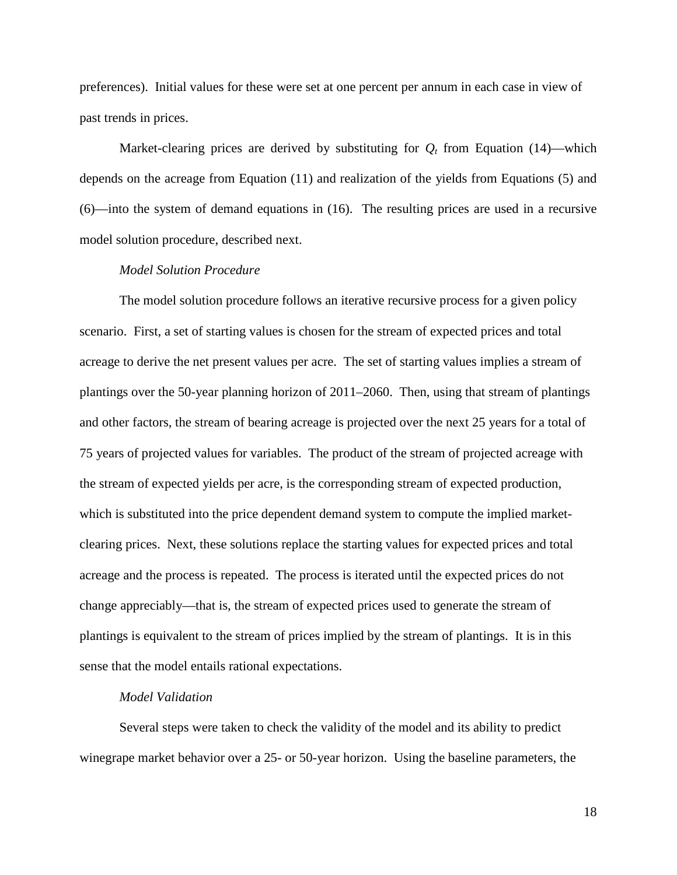preferences). Initial values for these were set at one percent per annum in each case in view of past trends in prices.

Market-clearing prices are derived by substituting for  $Q_t$  from Equation (14)—which depends on the acreage from Equation (11) and realization of the yields from Equations (5) and (6)—into the system of demand equations in (16). The resulting prices are used in a recursive model solution procedure, described next.

### *Model Solution Procedure*

The model solution procedure follows an iterative recursive process for a given policy scenario. First, a set of starting values is chosen for the stream of expected prices and total acreage to derive the net present values per acre. The set of starting values implies a stream of plantings over the 50-year planning horizon of 2011–2060. Then, using that stream of plantings and other factors, the stream of bearing acreage is projected over the next 25 years for a total of 75 years of projected values for variables. The product of the stream of projected acreage with the stream of expected yields per acre, is the corresponding stream of expected production, which is substituted into the price dependent demand system to compute the implied marketclearing prices. Next, these solutions replace the starting values for expected prices and total acreage and the process is repeated. The process is iterated until the expected prices do not change appreciably—that is, the stream of expected prices used to generate the stream of plantings is equivalent to the stream of prices implied by the stream of plantings. It is in this sense that the model entails rational expectations.

#### *Model Validation*

Several steps were taken to check the validity of the model and its ability to predict winegrape market behavior over a 25- or 50-year horizon. Using the baseline parameters, the

18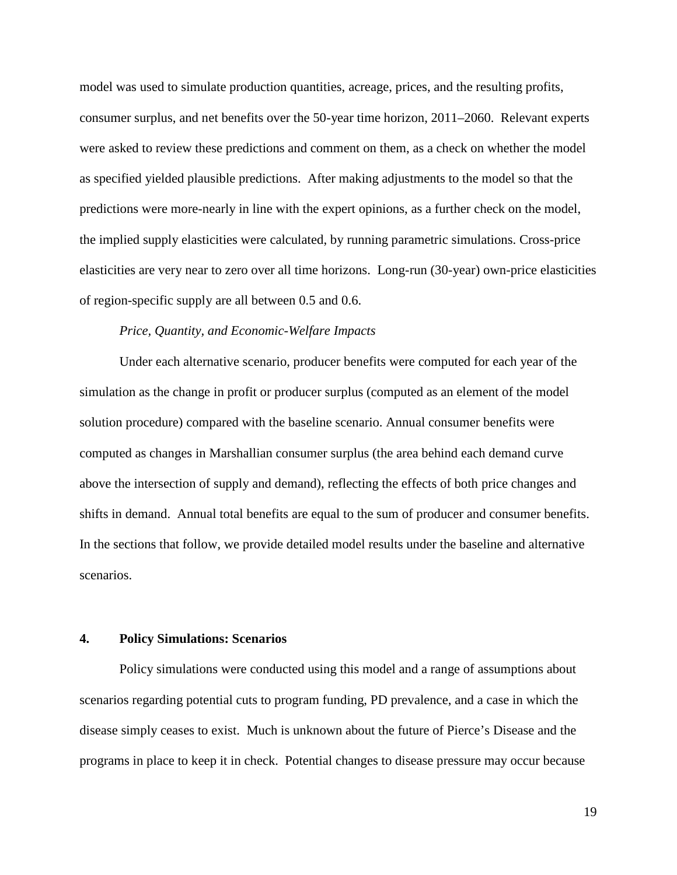model was used to simulate production quantities, acreage, prices, and the resulting profits, consumer surplus, and net benefits over the 50-year time horizon, 2011–2060. Relevant experts were asked to review these predictions and comment on them, as a check on whether the model as specified yielded plausible predictions. After making adjustments to the model so that the predictions were more-nearly in line with the expert opinions, as a further check on the model, the implied supply elasticities were calculated, by running parametric simulations. Cross-price elasticities are very near to zero over all time horizons. Long-run (30-year) own-price elasticities of region-specific supply are all between 0.5 and 0.6.

## *Price, Quantity, and Economic-Welfare Impacts*

Under each alternative scenario, producer benefits were computed for each year of the simulation as the change in profit or producer surplus (computed as an element of the model solution procedure) compared with the baseline scenario. Annual consumer benefits were computed as changes in Marshallian consumer surplus (the area behind each demand curve above the intersection of supply and demand), reflecting the effects of both price changes and shifts in demand. Annual total benefits are equal to the sum of producer and consumer benefits. In the sections that follow, we provide detailed model results under the baseline and alternative scenarios.

## **4. Policy Simulations: Scenarios**

Policy simulations were conducted using this model and a range of assumptions about scenarios regarding potential cuts to program funding, PD prevalence, and a case in which the disease simply ceases to exist. Much is unknown about the future of Pierce's Disease and the programs in place to keep it in check. Potential changes to disease pressure may occur because

19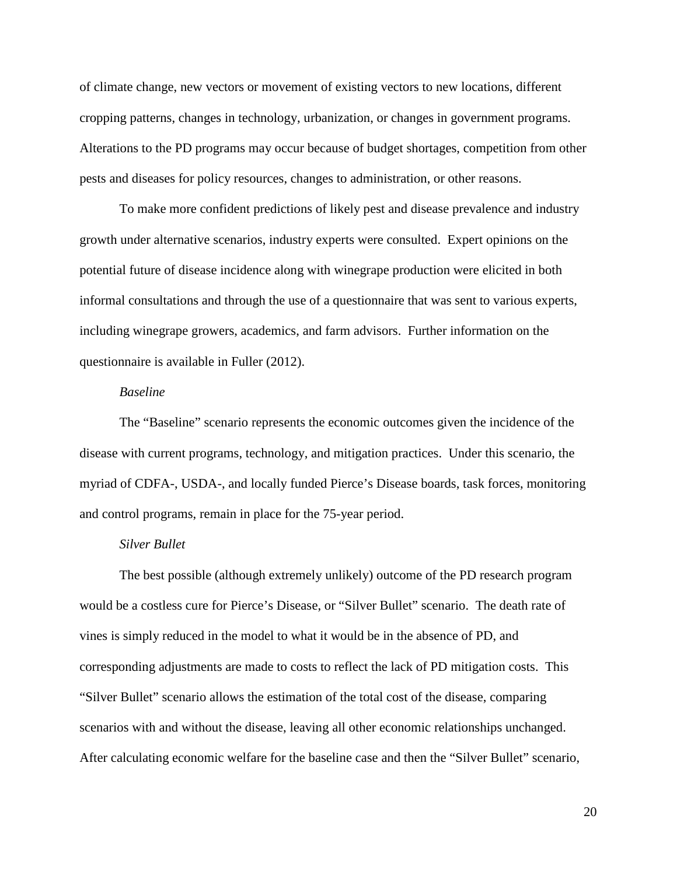of climate change, new vectors or movement of existing vectors to new locations, different cropping patterns, changes in technology, urbanization, or changes in government programs. Alterations to the PD programs may occur because of budget shortages, competition from other pests and diseases for policy resources, changes to administration, or other reasons.

To make more confident predictions of likely pest and disease prevalence and industry growth under alternative scenarios, industry experts were consulted. Expert opinions on the potential future of disease incidence along with winegrape production were elicited in both informal consultations and through the use of a questionnaire that was sent to various experts, including winegrape growers, academics, and farm advisors. Further information on the questionnaire is available in Fuller (2012).

### *Baseline*

The "Baseline" scenario represents the economic outcomes given the incidence of the disease with current programs, technology, and mitigation practices. Under this scenario, the myriad of CDFA-, USDA-, and locally funded Pierce's Disease boards, task forces, monitoring and control programs, remain in place for the 75-year period.

#### *Silver Bullet*

The best possible (although extremely unlikely) outcome of the PD research program would be a costless cure for Pierce's Disease, or "Silver Bullet" scenario. The death rate of vines is simply reduced in the model to what it would be in the absence of PD, and corresponding adjustments are made to costs to reflect the lack of PD mitigation costs. This "Silver Bullet" scenario allows the estimation of the total cost of the disease, comparing scenarios with and without the disease, leaving all other economic relationships unchanged. After calculating economic welfare for the baseline case and then the "Silver Bullet" scenario,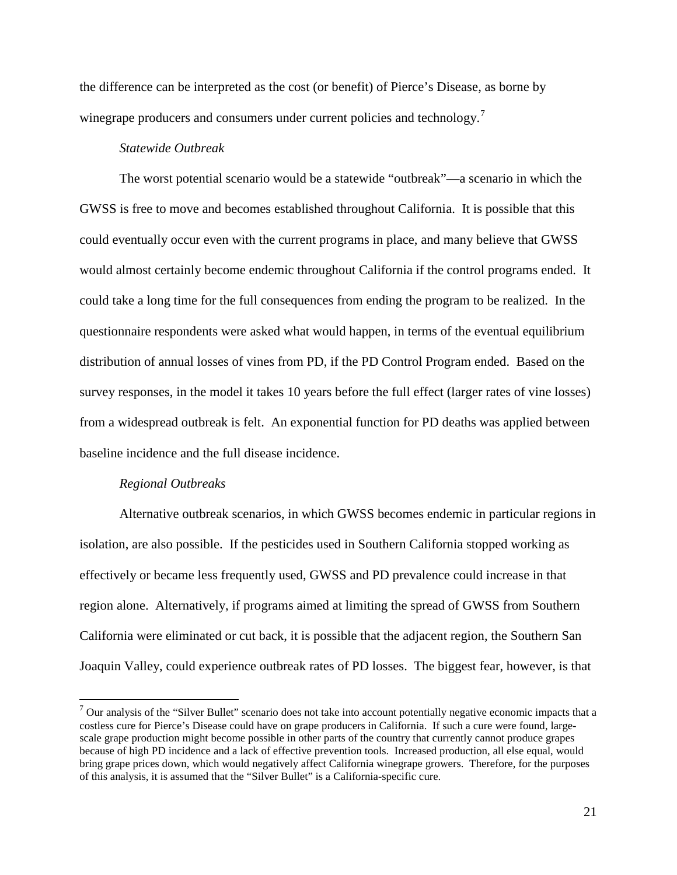the difference can be interpreted as the cost (or benefit) of Pierce's Disease, as borne by winegrape producers and consumers under current policies and technology.<sup>[7](#page-20-0)</sup>

## *Statewide Outbreak*

The worst potential scenario would be a statewide "outbreak"—a scenario in which the GWSS is free to move and becomes established throughout California. It is possible that this could eventually occur even with the current programs in place, and many believe that GWSS would almost certainly become endemic throughout California if the control programs ended. It could take a long time for the full consequences from ending the program to be realized. In the questionnaire respondents were asked what would happen, in terms of the eventual equilibrium distribution of annual losses of vines from PD, if the PD Control Program ended. Based on the survey responses, in the model it takes 10 years before the full effect (larger rates of vine losses) from a widespread outbreak is felt. An exponential function for PD deaths was applied between baseline incidence and the full disease incidence.

#### *Regional Outbreaks*

Alternative outbreak scenarios, in which GWSS becomes endemic in particular regions in isolation, are also possible. If the pesticides used in Southern California stopped working as effectively or became less frequently used, GWSS and PD prevalence could increase in that region alone. Alternatively, if programs aimed at limiting the spread of GWSS from Southern California were eliminated or cut back, it is possible that the adjacent region, the Southern San Joaquin Valley, could experience outbreak rates of PD losses. The biggest fear, however, is that

<span id="page-20-0"></span> $7$  Our analysis of the "Silver Bullet" scenario does not take into account potentially negative economic impacts that a costless cure for Pierce's Disease could have on grape producers in California. If such a cure were found, largescale grape production might become possible in other parts of the country that currently cannot produce grapes because of high PD incidence and a lack of effective prevention tools. Increased production, all else equal, would bring grape prices down, which would negatively affect California winegrape growers. Therefore, for the purposes of this analysis, it is assumed that the "Silver Bullet" is a California-specific cure.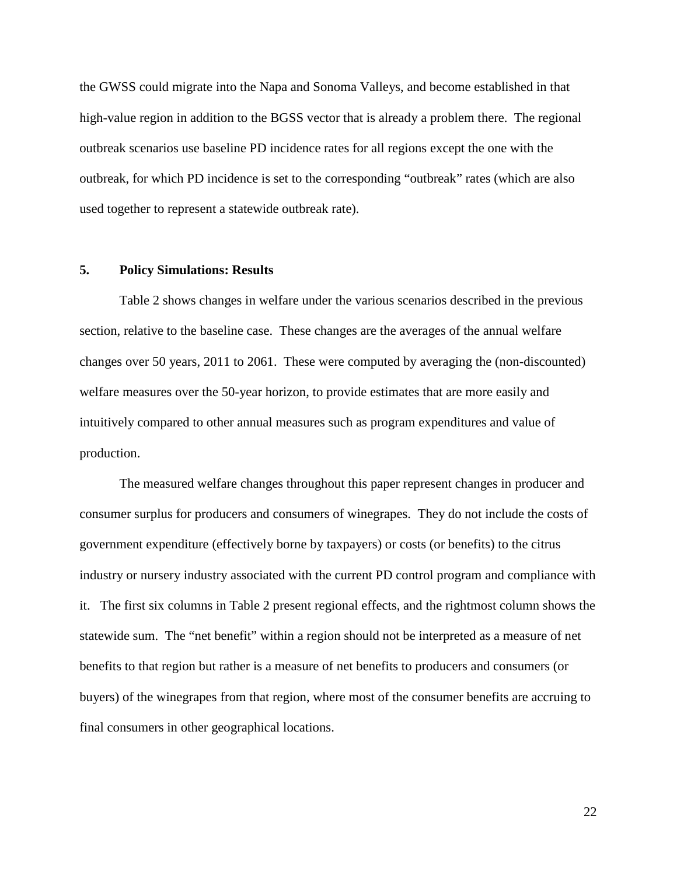the GWSS could migrate into the Napa and Sonoma Valleys, and become established in that high-value region in addition to the BGSS vector that is already a problem there. The regional outbreak scenarios use baseline PD incidence rates for all regions except the one with the outbreak, for which PD incidence is set to the corresponding "outbreak" rates (which are also used together to represent a statewide outbreak rate).

#### **5. Policy Simulations: Results**

Table 2 shows changes in welfare under the various scenarios described in the previous section, relative to the baseline case. These changes are the averages of the annual welfare changes over 50 years, 2011 to 2061. These were computed by averaging the (non-discounted) welfare measures over the 50-year horizon, to provide estimates that are more easily and intuitively compared to other annual measures such as program expenditures and value of production.

The measured welfare changes throughout this paper represent changes in producer and consumer surplus for producers and consumers of winegrapes. They do not include the costs of government expenditure (effectively borne by taxpayers) or costs (or benefits) to the citrus industry or nursery industry associated with the current PD control program and compliance with it. The first six columns in Table 2 present regional effects, and the rightmost column shows the statewide sum. The "net benefit" within a region should not be interpreted as a measure of net benefits to that region but rather is a measure of net benefits to producers and consumers (or buyers) of the winegrapes from that region, where most of the consumer benefits are accruing to final consumers in other geographical locations.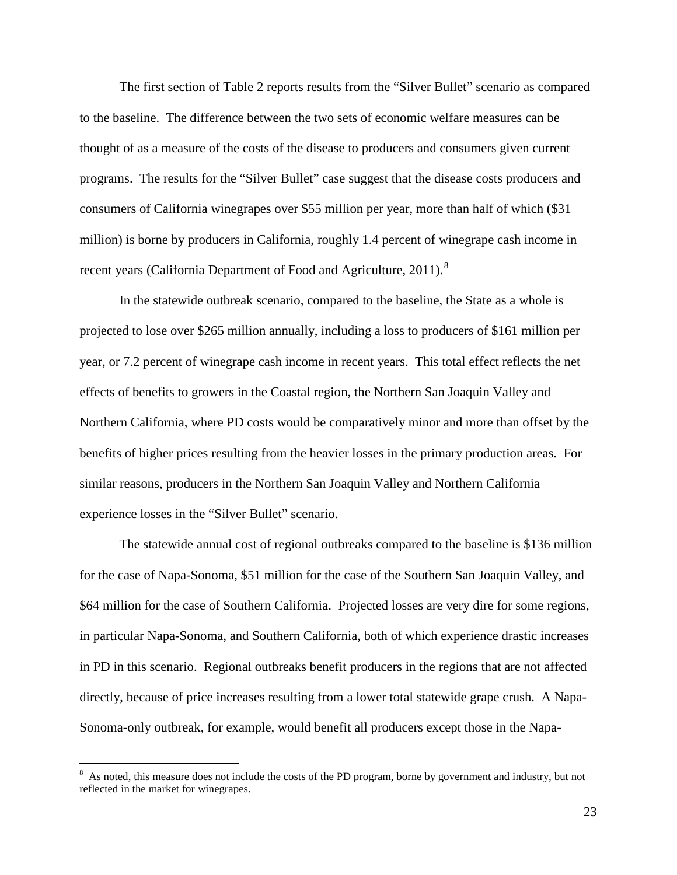The first section of Table 2 reports results from the "Silver Bullet" scenario as compared to the baseline. The difference between the two sets of economic welfare measures can be thought of as a measure of the costs of the disease to producers and consumers given current programs. The results for the "Silver Bullet" case suggest that the disease costs producers and consumers of California winegrapes over \$55 million per year, more than half of which (\$31 million) is borne by producers in California, roughly 1.4 percent of winegrape cash income in recent years [\(California Department of Food and Agriculture, 2011\)](#page-27-8).<sup>[8](#page-22-0)</sup>

In the statewide outbreak scenario, compared to the baseline, the State as a whole is projected to lose over \$265 million annually, including a loss to producers of \$161 million per year, or 7.2 percent of winegrape cash income in recent years. This total effect reflects the net effects of benefits to growers in the Coastal region, the Northern San Joaquin Valley and Northern California, where PD costs would be comparatively minor and more than offset by the benefits of higher prices resulting from the heavier losses in the primary production areas. For similar reasons, producers in the Northern San Joaquin Valley and Northern California experience losses in the "Silver Bullet" scenario.

The statewide annual cost of regional outbreaks compared to the baseline is \$136 million for the case of Napa-Sonoma, \$51 million for the case of the Southern San Joaquin Valley, and \$64 million for the case of Southern California. Projected losses are very dire for some regions, in particular Napa-Sonoma, and Southern California, both of which experience drastic increases in PD in this scenario. Regional outbreaks benefit producers in the regions that are not affected directly, because of price increases resulting from a lower total statewide grape crush. A Napa-Sonoma-only outbreak, for example, would benefit all producers except those in the Napa-

<span id="page-22-0"></span> <sup>8</sup> <sup>8</sup> As noted, this measure does not include the costs of the PD program, borne by government and industry, but not reflected in the market for winegrapes.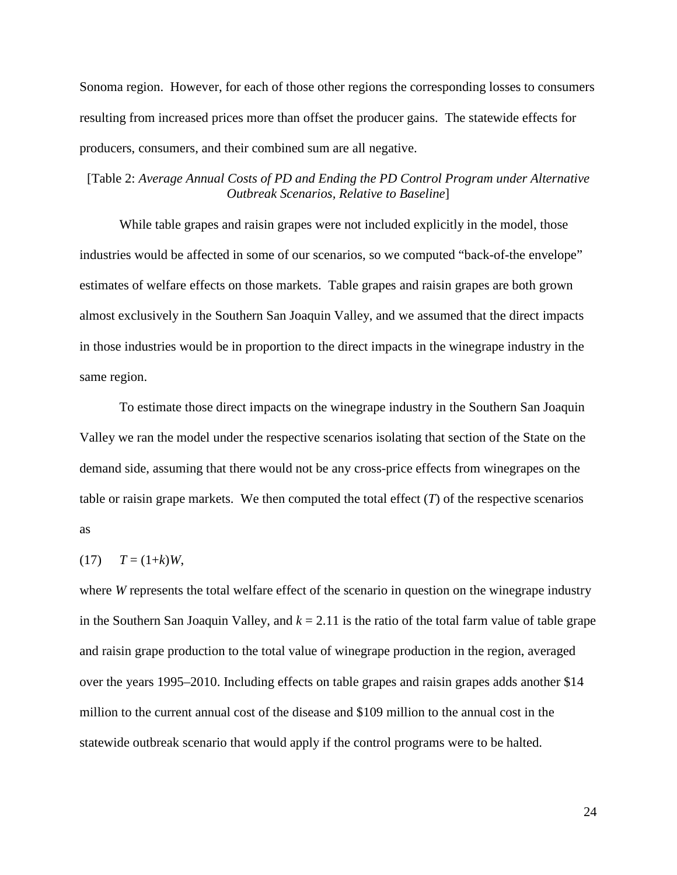Sonoma region. However, for each of those other regions the corresponding losses to consumers resulting from increased prices more than offset the producer gains. The statewide effects for producers, consumers, and their combined sum are all negative.

## [Table 2: *Average Annual Costs of PD and Ending the PD Control Program under Alternative Outbreak Scenarios, Relative to Baseline*]

While table grapes and raisin grapes were not included explicitly in the model, those industries would be affected in some of our scenarios, so we computed "back-of-the envelope" estimates of welfare effects on those markets. Table grapes and raisin grapes are both grown almost exclusively in the Southern San Joaquin Valley, and we assumed that the direct impacts in those industries would be in proportion to the direct impacts in the winegrape industry in the same region.

To estimate those direct impacts on the winegrape industry in the Southern San Joaquin Valley we ran the model under the respective scenarios isolating that section of the State on the demand side, assuming that there would not be any cross-price effects from winegrapes on the table or raisin grape markets. We then computed the total effect  $(T)$  of the respective scenarios as

## $(T7)$   $T = (1+k)W$ ,

where *W* represents the total welfare effect of the scenario in question on the winegrape industry in the Southern San Joaquin Valley, and  $k = 2.11$  is the ratio of the total farm value of table grape and raisin grape production to the total value of winegrape production in the region, averaged over the years 1995–2010. Including effects on table grapes and raisin grapes adds another \$14 million to the current annual cost of the disease and \$109 million to the annual cost in the statewide outbreak scenario that would apply if the control programs were to be halted.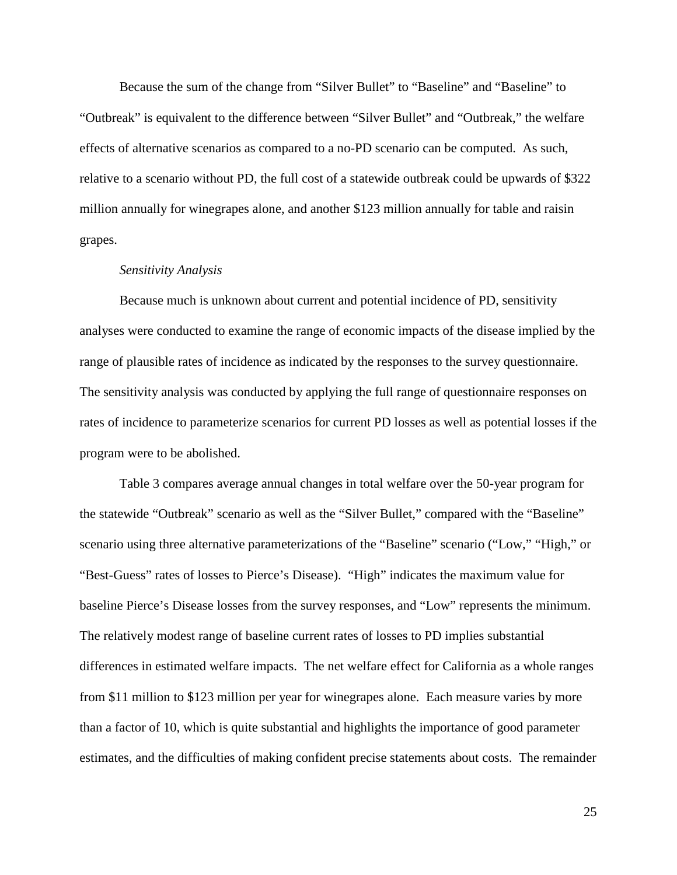Because the sum of the change from "Silver Bullet" to "Baseline" and "Baseline" to "Outbreak" is equivalent to the difference between "Silver Bullet" and "Outbreak," the welfare effects of alternative scenarios as compared to a no-PD scenario can be computed. As such, relative to a scenario without PD, the full cost of a statewide outbreak could be upwards of \$322 million annually for winegrapes alone, and another \$123 million annually for table and raisin grapes.

#### *Sensitivity Analysis*

Because much is unknown about current and potential incidence of PD, sensitivity analyses were conducted to examine the range of economic impacts of the disease implied by the range of plausible rates of incidence as indicated by the responses to the survey questionnaire. The sensitivity analysis was conducted by applying the full range of questionnaire responses on rates of incidence to parameterize scenarios for current PD losses as well as potential losses if the program were to be abolished.

Table 3 compares average annual changes in total welfare over the 50-year program for the statewide "Outbreak" scenario as well as the "Silver Bullet," compared with the "Baseline" scenario using three alternative parameterizations of the "Baseline" scenario ("Low," "High," or "Best-Guess" rates of losses to Pierce's Disease). "High" indicates the maximum value for baseline Pierce's Disease losses from the survey responses, and "Low" represents the minimum. The relatively modest range of baseline current rates of losses to PD implies substantial differences in estimated welfare impacts. The net welfare effect for California as a whole ranges from \$11 million to \$123 million per year for winegrapes alone. Each measure varies by more than a factor of 10, which is quite substantial and highlights the importance of good parameter estimates, and the difficulties of making confident precise statements about costs. The remainder

25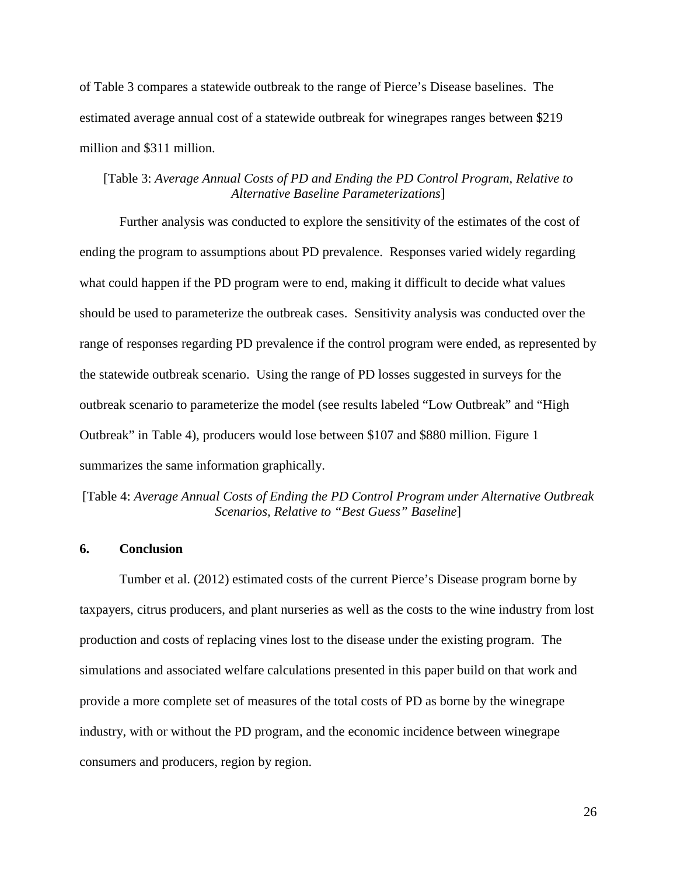of Table 3 compares a statewide outbreak to the range of Pierce's Disease baselines. The estimated average annual cost of a statewide outbreak for winegrapes ranges between \$219 million and \$311 million.

## [Table 3: *Average Annual Costs of PD and Ending the PD Control Program, Relative to Alternative Baseline Parameterizations*]

Further analysis was conducted to explore the sensitivity of the estimates of the cost of ending the program to assumptions about PD prevalence. Responses varied widely regarding what could happen if the PD program were to end, making it difficult to decide what values should be used to parameterize the outbreak cases. Sensitivity analysis was conducted over the range of responses regarding PD prevalence if the control program were ended, as represented by the statewide outbreak scenario. Using the range of PD losses suggested in surveys for the outbreak scenario to parameterize the model (see results labeled "Low Outbreak" and "High Outbreak" in Table 4), producers would lose between \$107 and \$880 million. Figure 1 summarizes the same information graphically.

[Table 4: *Average Annual Costs of Ending the PD Control Program under Alternative Outbreak Scenarios, Relative to "Best Guess" Baseline*]

## **6. Conclusion**

Tumber et al. [\(2012\)](#page-27-9) estimated costs of the current Pierce's Disease program borne by taxpayers, citrus producers, and plant nurseries as well as the costs to the wine industry from lost production and costs of replacing vines lost to the disease under the existing program. The simulations and associated welfare calculations presented in this paper build on that work and provide a more complete set of measures of the total costs of PD as borne by the winegrape industry, with or without the PD program, and the economic incidence between winegrape consumers and producers, region by region.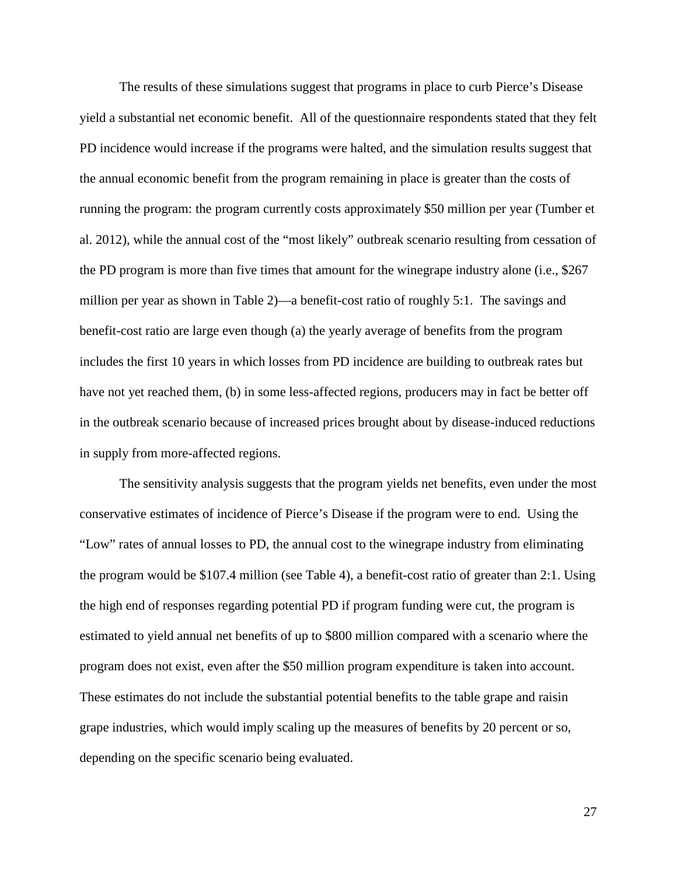The results of these simulations suggest that programs in place to curb Pierce's Disease yield a substantial net economic benefit. All of the questionnaire respondents stated that they felt PD incidence would increase if the programs were halted, and the simulation results suggest that the annual economic benefit from the program remaining in place is greater than the costs of running the program: the program currently costs approximately \$50 million per year (Tumber et al. 2012), while the annual cost of the "most likely" outbreak scenario resulting from cessation of the PD program is more than five times that amount for the winegrape industry alone (i.e., \$267 million per year as shown in Table 2)—a benefit-cost ratio of roughly 5:1. The savings and benefit-cost ratio are large even though (a) the yearly average of benefits from the program includes the first 10 years in which losses from PD incidence are building to outbreak rates but have not yet reached them, (b) in some less-affected regions, producers may in fact be better off in the outbreak scenario because of increased prices brought about by disease-induced reductions in supply from more-affected regions.

The sensitivity analysis suggests that the program yields net benefits, even under the most conservative estimates of incidence of Pierce's Disease if the program were to end. Using the "Low" rates of annual losses to PD, the annual cost to the winegrape industry from eliminating the program would be \$107.4 million (see Table 4), a benefit-cost ratio of greater than 2:1. Using the high end of responses regarding potential PD if program funding were cut, the program is estimated to yield annual net benefits of up to \$800 million compared with a scenario where the program does not exist, even after the \$50 million program expenditure is taken into account. These estimates do not include the substantial potential benefits to the table grape and raisin grape industries, which would imply scaling up the measures of benefits by 20 percent or so, depending on the specific scenario being evaluated.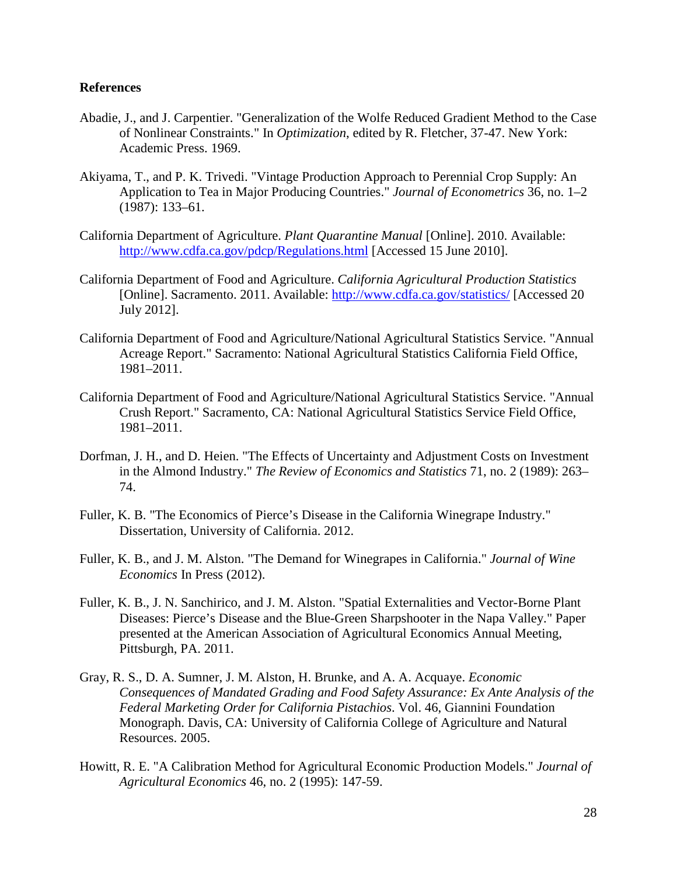## **References**

- <span id="page-27-7"></span>Abadie, J., and J. Carpentier. "Generalization of the Wolfe Reduced Gradient Method to the Case of Nonlinear Constraints." In *Optimization*, edited by R. Fletcher, 37-47. New York: Academic Press. 1969.
- Akiyama, T., and P. K. Trivedi. "Vintage Production Approach to Perennial Crop Supply: An Application to Tea in Major Producing Countries." *Journal of Econometrics* 36, no. 1–2 (1987): 133–61.
- <span id="page-27-1"></span>California Department of Agriculture. *Plant Quarantine Manual* [Online]. 2010. Available: <http://www.cdfa.ca.gov/pdcp/Regulations.html> [Accessed 15 June 2010].
- <span id="page-27-8"></span>California Department of Food and Agriculture. *California Agricultural Production Statistics*  [Online]. Sacramento. 2011. Available:<http://www.cdfa.ca.gov/statistics/> [Accessed 20 July 2012].
- <span id="page-27-6"></span>California Department of Food and Agriculture/National Agricultural Statistics Service. "Annual Acreage Report." Sacramento: National Agricultural Statistics California Field Office, 1981–2011.
- <span id="page-27-5"></span>California Department of Food and Agriculture/National Agricultural Statistics Service. "Annual Crush Report." Sacramento, CA: National Agricultural Statistics Service Field Office, 1981–2011.
- Dorfman, J. H., and D. Heien. "The Effects of Uncertainty and Adjustment Costs on Investment in the Almond Industry." *The Review of Economics and Statistics* 71, no. 2 (1989): 263– 74.
- <span id="page-27-2"></span>Fuller, K. B. "The Economics of Pierce's Disease in the California Winegrape Industry." Dissertation, University of California. 2012.
- <span id="page-27-4"></span>Fuller, K. B., and J. M. Alston. "The Demand for Winegrapes in California." *Journal of Wine Economics* In Press (2012).
- <span id="page-27-3"></span>Fuller, K. B., J. N. Sanchirico, and J. M. Alston. "Spatial Externalities and Vector-Borne Plant Diseases: Pierce's Disease and the Blue-Green Sharpshooter in the Napa Valley." Paper presented at the American Association of Agricultural Economics Annual Meeting, Pittsburgh, PA. 2011.
- <span id="page-27-9"></span>Gray, R. S., D. A. Sumner, J. M. Alston, H. Brunke, and A. A. Acquaye. *Economic Consequences of Mandated Grading and Food Safety Assurance: Ex Ante Analysis of the Federal Marketing Order for California Pistachios*. Vol. 46, Giannini Foundation Monograph. Davis, CA: University of California College of Agriculture and Natural Resources. 2005.
- <span id="page-27-0"></span>Howitt, R. E. "A Calibration Method for Agricultural Economic Production Models." *Journal of Agricultural Economics* 46, no. 2 (1995): 147-59.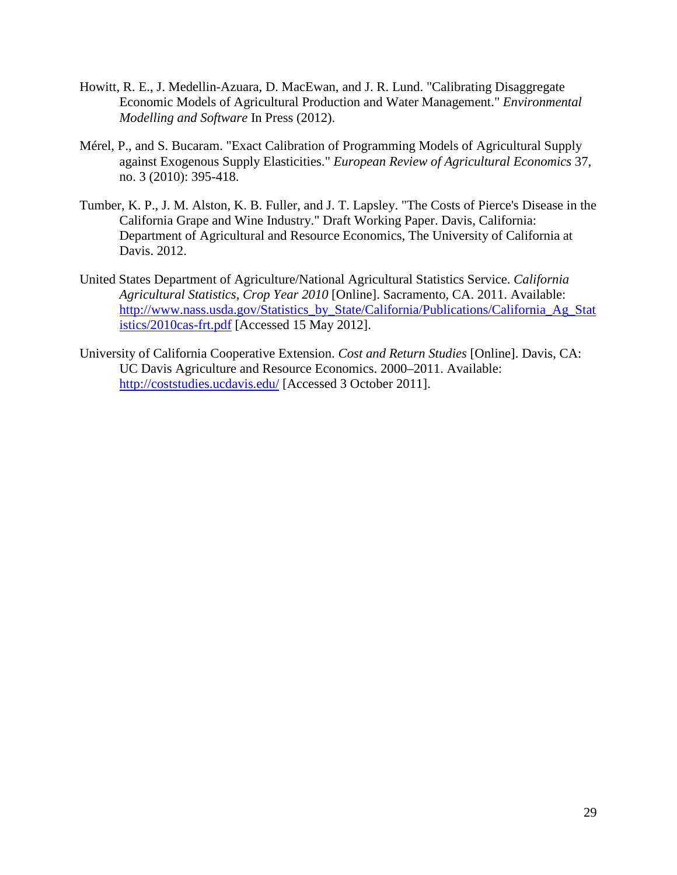- <span id="page-28-0"></span>Howitt, R. E., J. Medellin-Azuara, D. MacEwan, and J. R. Lund. "Calibrating Disaggregate Economic Models of Agricultural Production and Water Management." *Environmental Modelling and Software* In Press (2012).
- Mérel, P., and S. Bucaram. "Exact Calibration of Programming Models of Agricultural Supply against Exogenous Supply Elasticities." *European Review of Agricultural Economics* 37, no. 3 (2010): 395-418.
- Tumber, K. P., J. M. Alston, K. B. Fuller, and J. T. Lapsley. "The Costs of Pierce's Disease in the California Grape and Wine Industry." Draft Working Paper. Davis, California: Department of Agricultural and Resource Economics, The University of California at Davis. 2012.
- United States Department of Agriculture/National Agricultural Statistics Service. *California Agricultural Statistics, Crop Year 2010* [Online]. Sacramento, CA. 2011. Available: [http://www.nass.usda.gov/Statistics\\_by\\_State/California/Publications/California\\_Ag\\_Stat](http://www.nass.usda.gov/Statistics_by_State/California/Publications/California_Ag_Statistics/2010cas-frt.pdf) [istics/2010cas-frt.pdf](http://www.nass.usda.gov/Statistics_by_State/California/Publications/California_Ag_Statistics/2010cas-frt.pdf) [Accessed 15 May 2012].
- University of California Cooperative Extension. *Cost and Return Studies* [Online]. Davis, CA: UC Davis Agriculture and Resource Economics. 2000–2011. Available: <http://coststudies.ucdavis.edu/> [Accessed 3 October 2011].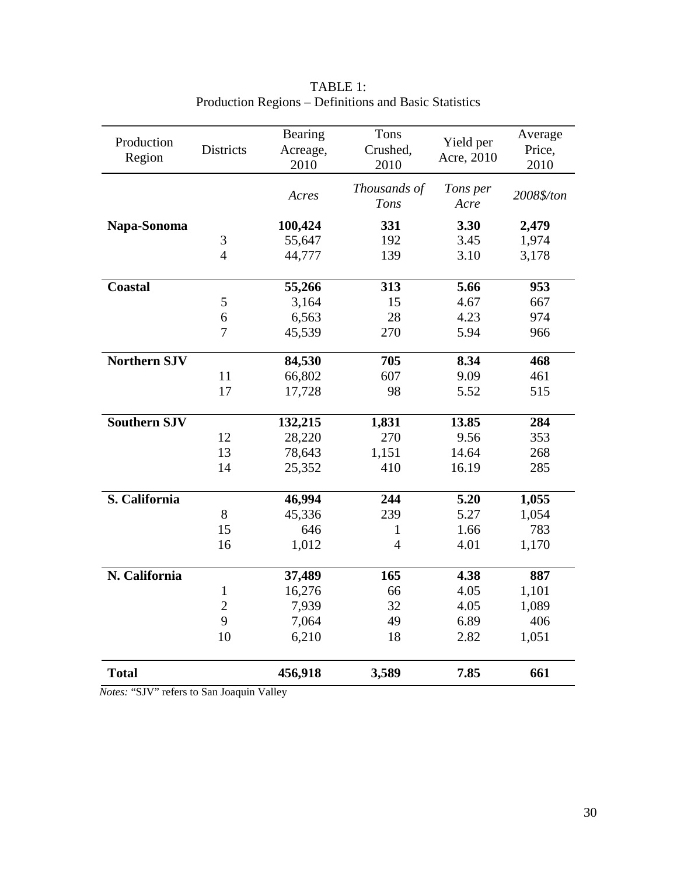| Production          |                  | Bearing  | Tons           | Yield per  | Average    |
|---------------------|------------------|----------|----------------|------------|------------|
| Region              | <b>Districts</b> | Acreage, | Crushed,       | Acre, 2010 | Price,     |
|                     |                  | 2010     | 2010           |            | 2010       |
|                     |                  |          | Thousands of   | Tons per   |            |
|                     |                  | Acres    | Tons           | Acre       | 2008\$/ton |
| Napa-Sonoma         |                  | 100,424  | 331            | 3.30       | 2,479      |
|                     | 3                | 55,647   | 192            | 3.45       | 1,974      |
|                     | $\overline{4}$   | 44,777   | 139            | 3.10       | 3,178      |
|                     |                  |          |                |            |            |
| <b>Coastal</b>      |                  | 55,266   | 313            | 5.66       | 953        |
|                     | 5                | 3,164    | 15             | 4.67       | 667        |
|                     | 6                | 6,563    | 28             | 4.23       | 974        |
|                     | $\overline{7}$   | 45,539   | 270            | 5.94       | 966        |
| <b>Northern SJV</b> |                  | 84,530   | 705            | 8.34       | 468        |
|                     | 11               | 66,802   | 607            | 9.09       | 461        |
|                     | 17               | 17,728   | 98             | 5.52       | 515        |
| <b>Southern SJV</b> |                  | 132,215  |                | 13.85      | 284        |
|                     |                  |          | 1,831          |            |            |
|                     | 12               | 28,220   | 270            | 9.56       | 353        |
|                     | 13               | 78,643   | 1,151          | 14.64      | 268        |
|                     | 14               | 25,352   | 410            | 16.19      | 285        |
| S. California       |                  | 46,994   | 244            | 5.20       | 1,055      |
|                     | 8                | 45,336   | 239            | 5.27       | 1,054      |
|                     | 15               | 646      | $\mathbf{1}$   | 1.66       | 783        |
|                     | 16               | 1,012    | $\overline{4}$ | 4.01       | 1,170      |
|                     |                  |          |                |            |            |
| N. California       |                  | 37,489   | 165            | 4.38       | 887        |
|                     | $\mathbf{1}$     | 16,276   | 66             | 4.05       | 1,101      |
|                     | $\overline{2}$   | 7,939    | 32             | 4.05       | 1,089      |
|                     | 9                | 7,064    | 49             | 6.89       | 406        |
|                     | 10               | 6,210    | 18             | 2.82       | 1,051      |
| <b>Total</b>        |                  | 456,918  | 3,589          | 7.85       | 661        |

# TABLE 1: Production Regions – Definitions and Basic Statistics

*Notes:* "SJV" refers to San Joaquin Valley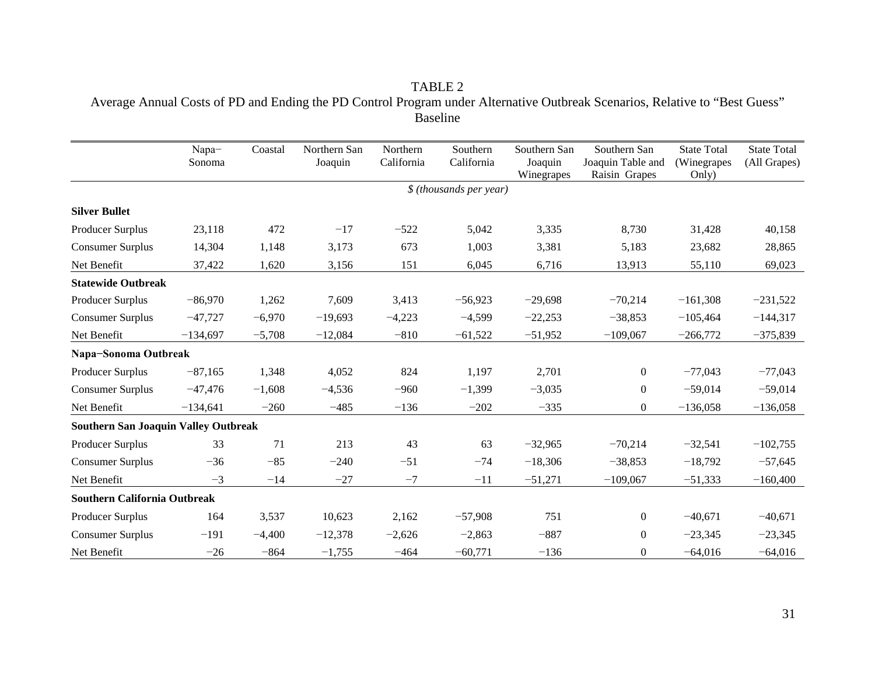TABLE 2 Average Annual Costs of PD and Ending the PD Control Program under Alternative Outbreak Scenarios, Relative to "Best Guess" Baseline

|                                             | Napa-<br>Sonoma | Coastal  | Northern San<br>Joaquin | Northern<br>California | Southern<br>California   | Southern San<br>Joaquin<br>Winegrapes | Southern San<br>Joaquin Table and<br>Raisin Grapes | <b>State Total</b><br>(Winegrapes<br>Only) | <b>State Total</b><br>(All Grapes) |
|---------------------------------------------|-----------------|----------|-------------------------|------------------------|--------------------------|---------------------------------------|----------------------------------------------------|--------------------------------------------|------------------------------------|
|                                             |                 |          |                         |                        | $$$ (thousands per year) |                                       |                                                    |                                            |                                    |
| <b>Silver Bullet</b>                        |                 |          |                         |                        |                          |                                       |                                                    |                                            |                                    |
| Producer Surplus                            | 23,118          | 472      | $-17$                   | $-522$                 | 5,042                    | 3,335                                 | 8,730                                              | 31,428                                     | 40,158                             |
| <b>Consumer Surplus</b>                     | 14,304          | 1,148    | 3,173                   | 673                    | 1,003                    | 3,381                                 | 5,183                                              | 23,682                                     | 28,865                             |
| Net Benefit                                 | 37,422          | 1,620    | 3,156                   | 151                    | 6,045                    | 6,716                                 | 13,913                                             | 55,110                                     | 69,023                             |
| <b>Statewide Outbreak</b>                   |                 |          |                         |                        |                          |                                       |                                                    |                                            |                                    |
| Producer Surplus                            | $-86,970$       | 1,262    | 7,609                   | 3,413                  | $-56,923$                | $-29,698$                             | $-70,214$                                          | $-161,308$                                 | $-231,522$                         |
| <b>Consumer Surplus</b>                     | $-47,727$       | $-6,970$ | $-19,693$               | $-4,223$               | $-4,599$                 | $-22,253$                             | $-38,853$                                          | $-105,464$                                 | $-144,317$                         |
| Net Benefit                                 | $-134,697$      | $-5,708$ | $-12,084$               | $-810$                 | $-61,522$                | $-51,952$                             | $-109,067$                                         | $-266,772$                                 | $-375,839$                         |
| Napa-Sonoma Outbreak                        |                 |          |                         |                        |                          |                                       |                                                    |                                            |                                    |
| Producer Surplus                            | $-87,165$       | 1,348    | 4,052                   | 824                    | 1,197                    | 2,701                                 | $\boldsymbol{0}$                                   | $-77,043$                                  | $-77,043$                          |
| <b>Consumer Surplus</b>                     | $-47,476$       | $-1,608$ | $-4,536$                | $-960$                 | $-1,399$                 | $-3,035$                              | $\boldsymbol{0}$                                   | $-59,014$                                  | $-59,014$                          |
| Net Benefit                                 | $-134,641$      | $-260$   | $-485$                  | $-136$                 | $-202$                   | $-335$                                | $\boldsymbol{0}$                                   | $-136,058$                                 | $-136,058$                         |
| <b>Southern San Joaquin Valley Outbreak</b> |                 |          |                         |                        |                          |                                       |                                                    |                                            |                                    |
| Producer Surplus                            | 33              | 71       | 213                     | 43                     | 63                       | $-32,965$                             | $-70,214$                                          | $-32,541$                                  | $-102,755$                         |
| <b>Consumer Surplus</b>                     | $-36$           | $-85$    | $-240$                  | $-51$                  | $-74$                    | $-18,306$                             | $-38,853$                                          | $-18,792$                                  | $-57,645$                          |
| Net Benefit                                 | $-3$            | $-14$    | $-27$                   | $-7$                   | $-11$                    | $-51,271$                             | $-109,067$                                         | $-51,333$                                  | $-160,400$                         |
| <b>Southern California Outbreak</b>         |                 |          |                         |                        |                          |                                       |                                                    |                                            |                                    |
| Producer Surplus                            | 164             | 3,537    | 10,623                  | 2,162                  | $-57,908$                | 751                                   | $\boldsymbol{0}$                                   | $-40,671$                                  | $-40,671$                          |
| <b>Consumer Surplus</b>                     | $-191$          | $-4,400$ | $-12,378$               | $-2,626$               | $-2,863$                 | $-887$                                | $\boldsymbol{0}$                                   | $-23,345$                                  | $-23,345$                          |
| Net Benefit                                 | $-26$           | $-864$   | $-1,755$                | $-464$                 | $-60,771$                | $-136$                                | $\theta$                                           | $-64,016$                                  | $-64,016$                          |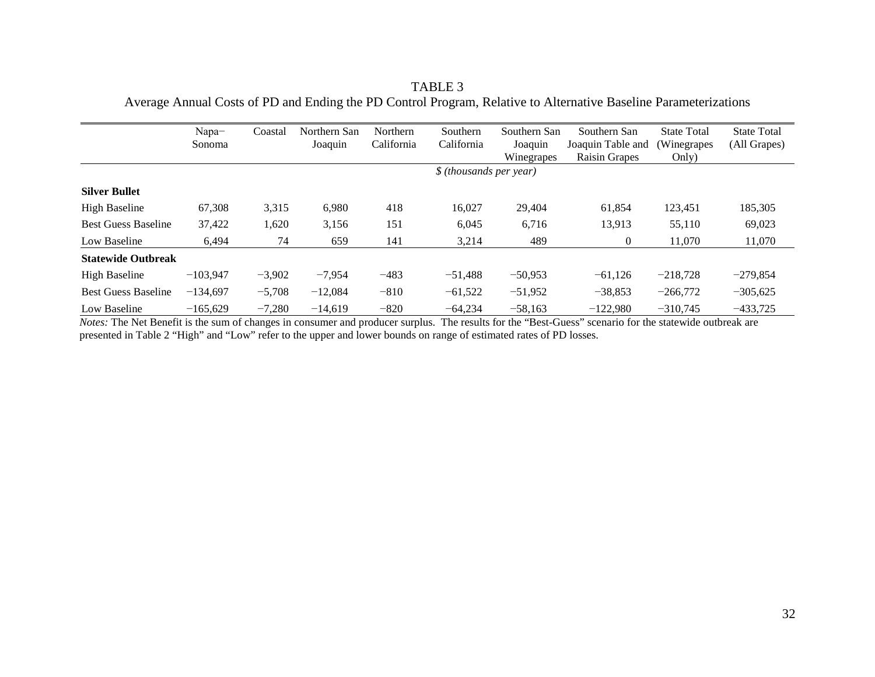Napa− Sonoma Coastal Northern San Joaquin Northern California Southern California Southern San Joaquin Winegrapes Southern San Joaquin Table and (Winegrapes Raisin Grapes State Total Only) State Total (All Grapes) *\$ (thousands per year)* **Silver Bullet** High Baseline 67,308 3,315 6,980 418 16,027 29,404 61,854 123,451 185,305 Best Guess Baseline 37,422 1,620 3,156 151 6,045 6,716 13,913 55,110 69,023 Low Baseline 6,494 74 659 141 3,214 489 0 11,070 11,070 **Statewide Outbreak** High Baseline −103,947 −3,902 −7,954 −483 −51,488 −50,953 −61,126 −218,728 −279,854 Best Guess Baseline −134,697 −5,708 −12,084 −810 −61,522 −51,952 −38,853 −266,772 −305,625 Low Baseline −165,629 −7,280 −14,619 −820 −64,234 −58,163 −122,980 −310,745 −433,725

TABLE 3 Average Annual Costs of PD and Ending the PD Control Program, Relative to Alternative Baseline Parameterizations

*Notes:* The Net Benefit is the sum of changes in consumer and producer surplus. The results for the "Best-Guess" scenario for the statewide outbreak are presented in Table 2 "High" and "Low" refer to the upper and lower bounds on range of estimated rates of PD losses.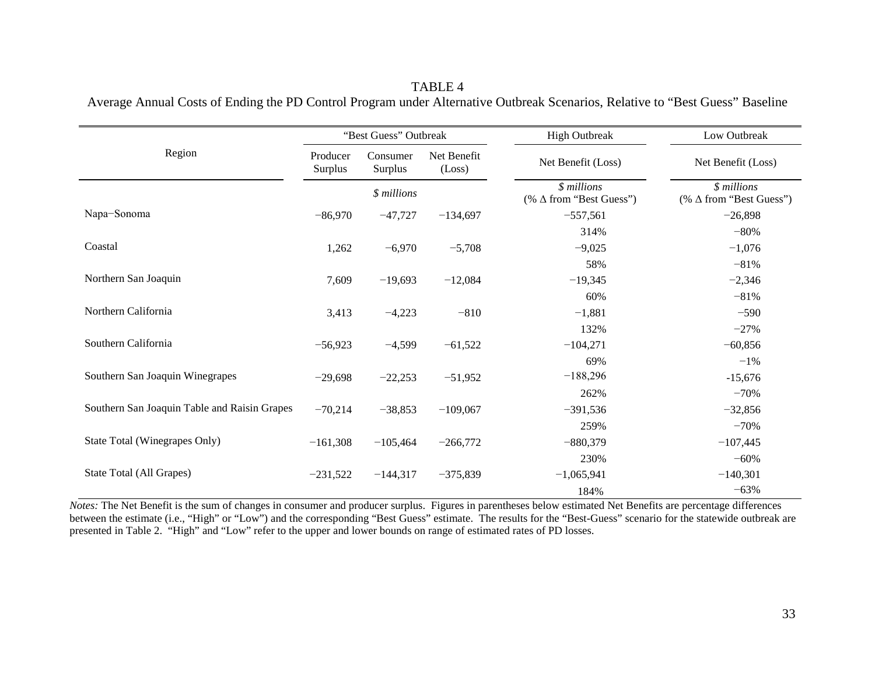TABLE 4 Average Annual Costs of Ending the PD Control Program under Alternative Outbreak Scenarios, Relative to "Best Guess" Baseline

|                                              |                     | "Best Guess" Outbreak |                       | <b>High Outbreak</b>                           | Low Outbreak                                  |
|----------------------------------------------|---------------------|-----------------------|-----------------------|------------------------------------------------|-----------------------------------------------|
| Region                                       | Producer<br>Surplus | Consumer<br>Surplus   | Net Benefit<br>(Loss) | Net Benefit (Loss)                             | Net Benefit (Loss)                            |
|                                              |                     | \$ millions           |                       | $$$ millions<br>(% $\Delta$ from "Best Guess") | \$ millions<br>(% $\Delta$ from "Best Guess") |
| Napa-Sonoma                                  | $-86,970$           | $-47,727$             | $-134,697$            | $-557,561$                                     | $-26,898$                                     |
|                                              |                     |                       |                       | 314%                                           | $-80%$                                        |
| Coastal                                      | 1,262               | $-6,970$              | $-5,708$              | $-9,025$                                       | $-1,076$                                      |
|                                              |                     |                       |                       | 58%                                            | $-81%$                                        |
| Northern San Joaquin                         | 7,609               | $-19,693$             | $-12,084$             | $-19,345$                                      | $-2,346$                                      |
|                                              |                     |                       |                       | 60%                                            | $-81%$                                        |
| Northern California                          | 3,413               | $-4,223$              | $-810$                | $-1,881$                                       | $-590$                                        |
|                                              |                     |                       |                       | 132%                                           | $-27%$                                        |
| Southern California                          | $-56,923$           | $-4,599$              | $-61,522$             | $-104,271$                                     | $-60,856$                                     |
|                                              |                     |                       |                       | 69%                                            | $-1\%$                                        |
| Southern San Joaquin Winegrapes              | $-29,698$           | $-22,253$             | $-51,952$             | $-188,296$                                     | $-15,676$                                     |
|                                              |                     |                       |                       | 262%                                           | $-70%$                                        |
| Southern San Joaquin Table and Raisin Grapes | $-70,214$           | $-38,853$             | $-109,067$            | $-391,536$                                     | $-32,856$                                     |
|                                              |                     |                       |                       | 259%                                           | $-70%$                                        |
| State Total (Winegrapes Only)                | $-161,308$          | $-105,464$            | $-266,772$            | $-880,379$                                     | $-107,445$                                    |
|                                              |                     |                       |                       | 230%                                           | $-60%$                                        |
| State Total (All Grapes)                     | $-231,522$          | $-144,317$            | $-375,839$            | $-1,065,941$                                   | $-140,301$                                    |
|                                              |                     |                       |                       | 184%                                           | $-63%$                                        |

*Notes*: The Net Benefit is the sum of changes in consumer and producer surplus. Figures in parentheses below estimated Net Benefits are percentage differences between the estimate (i.e., "High" or "Low") and the corresponding "Best Guess" estimate. The results for the "Best-Guess" scenario for the statewide outbreak are presented in Table 2. "High" and "Low" refer to the upper and lower bounds on range of estimated rates of PD losses.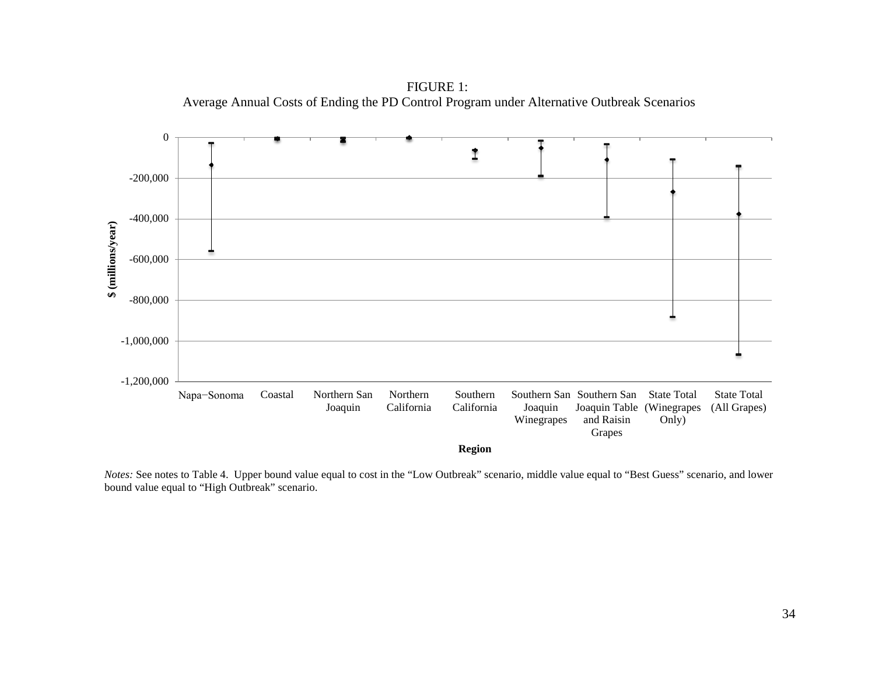FIGURE 1: Average Annual Costs of Ending the PD Control Program under Alternative Outbreak Scenarios



*Notes:* See notes to Table 4. Upper bound value equal to cost in the "Low Outbreak" scenario, middle value equal to "Best Guess" scenario, and lower bound value equal to "High Outbreak" scenario.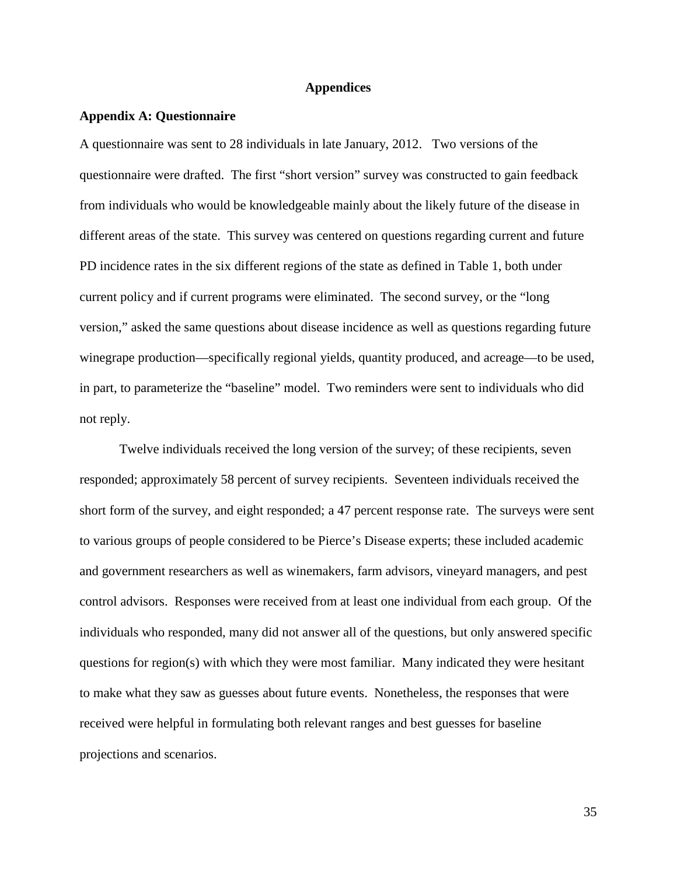#### **Appendices**

#### **Appendix A: Questionnaire**

A questionnaire was sent to 28 individuals in late January, 2012. Two versions of the questionnaire were drafted. The first "short version" survey was constructed to gain feedback from individuals who would be knowledgeable mainly about the likely future of the disease in different areas of the state. This survey was centered on questions regarding current and future PD incidence rates in the six different regions of the state as defined in Table 1, both under current policy and if current programs were eliminated. The second survey, or the "long version," asked the same questions about disease incidence as well as questions regarding future winegrape production—specifically regional yields, quantity produced, and acreage—to be used, in part, to parameterize the "baseline" model. Two reminders were sent to individuals who did not reply.

Twelve individuals received the long version of the survey; of these recipients, seven responded; approximately 58 percent of survey recipients. Seventeen individuals received the short form of the survey, and eight responded; a 47 percent response rate. The surveys were sent to various groups of people considered to be Pierce's Disease experts; these included academic and government researchers as well as winemakers, farm advisors, vineyard managers, and pest control advisors. Responses were received from at least one individual from each group. Of the individuals who responded, many did not answer all of the questions, but only answered specific questions for region(s) with which they were most familiar. Many indicated they were hesitant to make what they saw as guesses about future events. Nonetheless, the responses that were received were helpful in formulating both relevant ranges and best guesses for baseline projections and scenarios.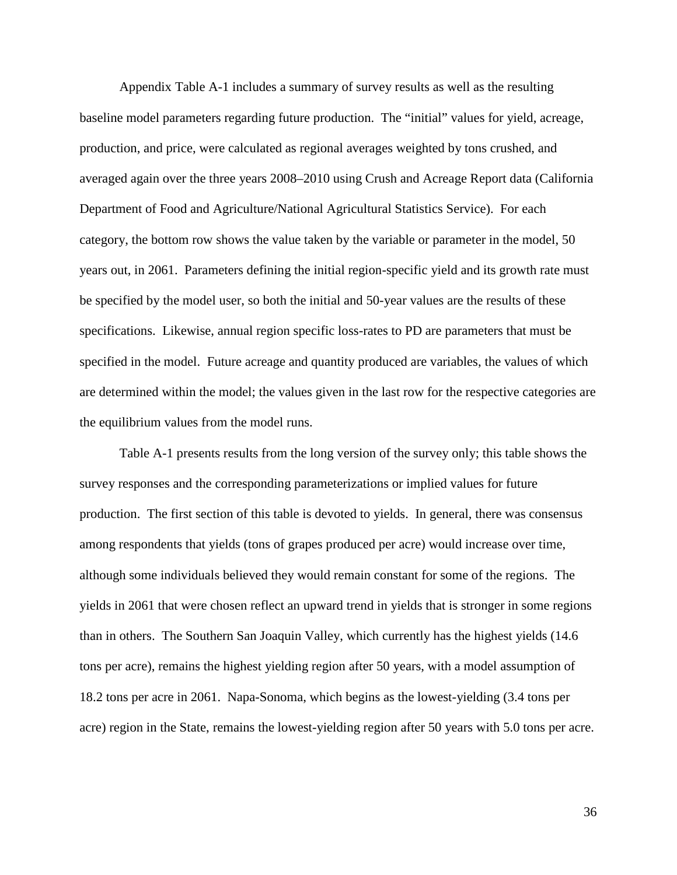Appendix Table A-1 includes a summary of survey results as well as the resulting baseline model parameters regarding future production. The "initial" values for yield, acreage, production, and price, were calculated as regional averages weighted by tons crushed, and averaged again over the three years 2008–2010 using Crush and Acreage Report data [\(California](#page-27-5)  [Department of Food and Agriculture/National Agricultural Statistics Service\)](#page-27-5). For each category, the bottom row shows the value taken by the variable or parameter in the model, 50 years out, in 2061. Parameters defining the initial region-specific yield and its growth rate must be specified by the model user, so both the initial and 50-year values are the results of these specifications. Likewise, annual region specific loss-rates to PD are parameters that must be specified in the model. Future acreage and quantity produced are variables, the values of which are determined within the model; the values given in the last row for the respective categories are the equilibrium values from the model runs.

Table A-1 presents results from the long version of the survey only; this table shows the survey responses and the corresponding parameterizations or implied values for future production. The first section of this table is devoted to yields. In general, there was consensus among respondents that yields (tons of grapes produced per acre) would increase over time, although some individuals believed they would remain constant for some of the regions. The yields in 2061 that were chosen reflect an upward trend in yields that is stronger in some regions than in others. The Southern San Joaquin Valley, which currently has the highest yields (14.6 tons per acre), remains the highest yielding region after 50 years, with a model assumption of 18.2 tons per acre in 2061. Napa-Sonoma, which begins as the lowest-yielding (3.4 tons per acre) region in the State, remains the lowest-yielding region after 50 years with 5.0 tons per acre.

36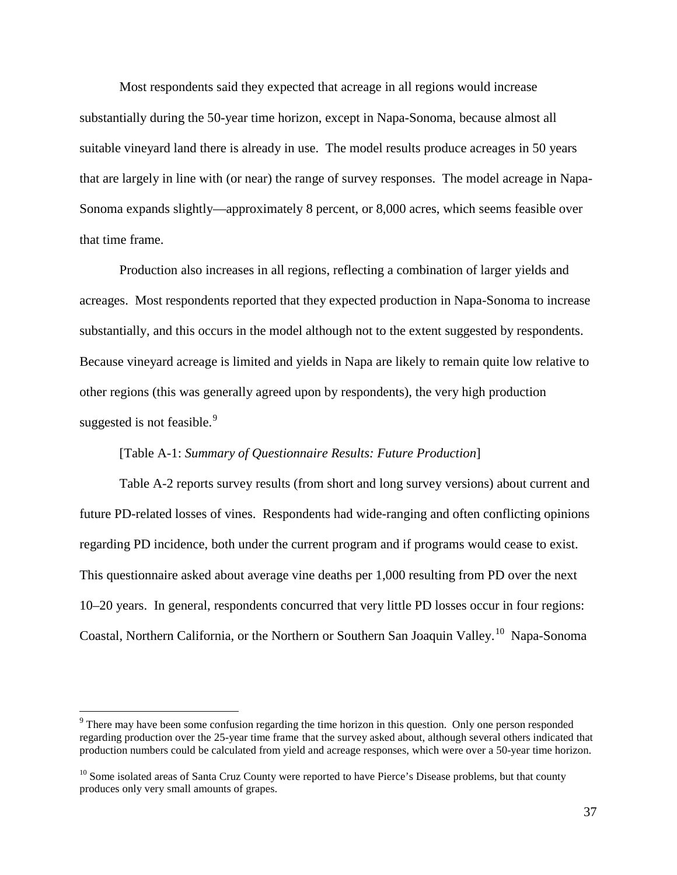Most respondents said they expected that acreage in all regions would increase substantially during the 50-year time horizon, except in Napa-Sonoma, because almost all suitable vineyard land there is already in use. The model results produce acreages in 50 years that are largely in line with (or near) the range of survey responses. The model acreage in Napa-Sonoma expands slightly—approximately 8 percent, or 8,000 acres, which seems feasible over that time frame.

Production also increases in all regions, reflecting a combination of larger yields and acreages. Most respondents reported that they expected production in Napa-Sonoma to increase substantially, and this occurs in the model although not to the extent suggested by respondents. Because vineyard acreage is limited and yields in Napa are likely to remain quite low relative to other regions (this was generally agreed upon by respondents), the very high production suggested is not feasible.<sup>[9](#page-36-0)</sup>

## [Table A-1: *Summary of Questionnaire Results: Future Production*]

Table A-2 reports survey results (from short and long survey versions) about current and future PD-related losses of vines. Respondents had wide-ranging and often conflicting opinions regarding PD incidence, both under the current program and if programs would cease to exist. This questionnaire asked about average vine deaths per 1,000 resulting from PD over the next 10–20 years. In general, respondents concurred that very little PD losses occur in four regions: Coastal, Northern California, or the Northern or Southern San Joaquin Valley.<sup>[10](#page-36-1)</sup> Napa-Sonoma

<span id="page-36-0"></span><sup>&</sup>lt;sup>9</sup> There may have been some confusion regarding the time horizon in this question. Only one person responded regarding production over the 25-year time frame that the survey asked about, although several others indicated that production numbers could be calculated from yield and acreage responses, which were over a 50-year time horizon.

<span id="page-36-1"></span> $10$  Some isolated areas of Santa Cruz County were reported to have Pierce's Disease problems, but that county produces only very small amounts of grapes.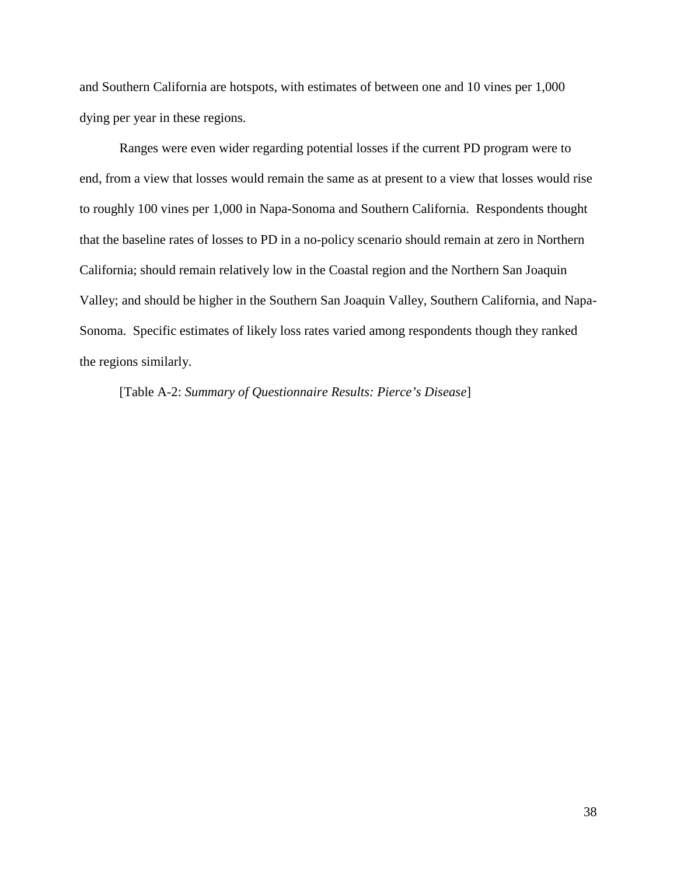and Southern California are hotspots, with estimates of between one and 10 vines per 1,000 dying per year in these regions.

Ranges were even wider regarding potential losses if the current PD program were to end, from a view that losses would remain the same as at present to a view that losses would rise to roughly 100 vines per 1,000 in Napa-Sonoma and Southern California. Respondents thought that the baseline rates of losses to PD in a no-policy scenario should remain at zero in Northern California; should remain relatively low in the Coastal region and the Northern San Joaquin Valley; and should be higher in the Southern San Joaquin Valley, Southern California, and Napa-Sonoma. Specific estimates of likely loss rates varied among respondents though they ranked the regions similarly.

[Table A-2: *Summary of Questionnaire Results: Pierce's Disease*]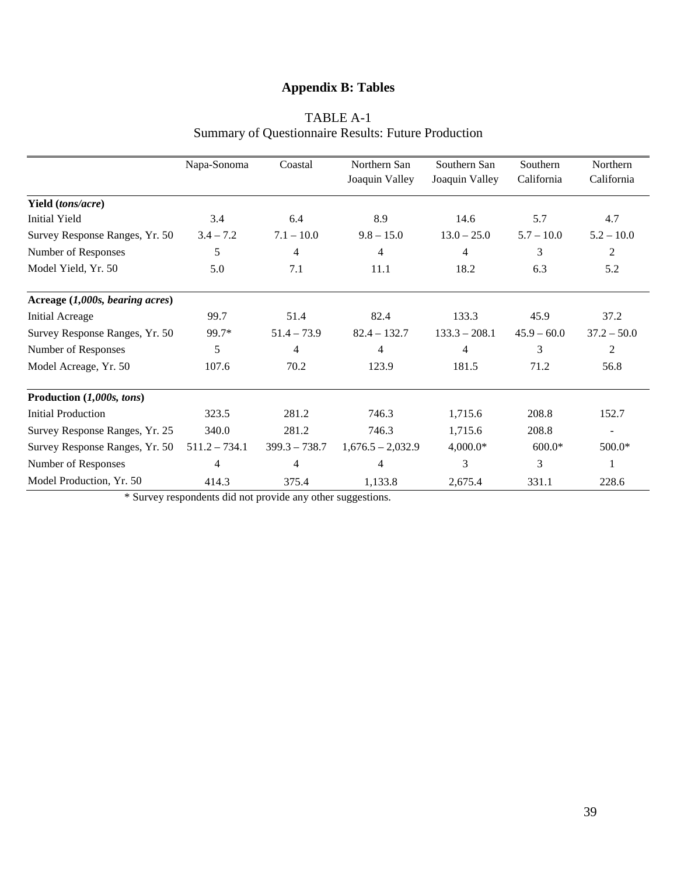# **Appendix B: Tables**

|                                 | Napa-Sonoma     | Coastal         | Northern San        | Southern San    | Southern      | Northern       |
|---------------------------------|-----------------|-----------------|---------------------|-----------------|---------------|----------------|
|                                 |                 |                 | Joaquin Valley      | Joaquin Valley  | California    | California     |
| Yield (tons/acre)               |                 |                 |                     |                 |               |                |
| Initial Yield                   | 3.4             | 6.4             | 8.9                 | 14.6            | 5.7           | 4.7            |
| Survey Response Ranges, Yr. 50  | $3.4 - 7.2$     | $7.1 - 10.0$    | $9.8 - 15.0$        | $13.0 - 25.0$   | $5.7 - 10.0$  | $5.2 - 10.0$   |
| Number of Responses             | 5               | $\overline{4}$  | 4                   | 4               | 3             | $\overline{2}$ |
| Model Yield, Yr. 50             | 5.0             | 7.1             | 11.1                | 18.2            | 6.3           | 5.2            |
| Acreage (1,000s, bearing acres) |                 |                 |                     |                 |               |                |
| <b>Initial Acreage</b>          | 99.7            | 51.4            | 82.4                | 133.3           | 45.9          | 37.2           |
| Survey Response Ranges, Yr. 50  | 99.7*           | $51.4 - 73.9$   | $82.4 - 132.7$      | $133.3 - 208.1$ | $45.9 - 60.0$ | $37.2 - 50.0$  |
| Number of Responses             | 5               | 4               | 4                   | 4               | 3             | 2              |
| Model Acreage, Yr. 50           | 107.6           | 70.2            | 123.9               | 181.5           | 71.2          | 56.8           |
| Production (1,000s, tons)       |                 |                 |                     |                 |               |                |
| <b>Initial Production</b>       | 323.5           | 281.2           | 746.3               | 1,715.6         | 208.8         | 152.7          |
| Survey Response Ranges, Yr. 25  | 340.0           | 281.2           | 746.3               | 1,715.6         | 208.8         | $\blacksquare$ |
| Survey Response Ranges, Yr. 50  | $511.2 - 734.1$ | $399.3 - 738.7$ | $1,676.5 - 2,032.9$ | $4,000.0*$      | $600.0*$      | 500.0*         |
| Number of Responses             | 4               | $\overline{4}$  | 4                   | 3               | 3             | 1              |
| Model Production, Yr. 50        | 414.3           | 375.4           | 1,133.8             | 2,675.4         | 331.1         | 228.6          |

# TABLE A-1 Summary of Questionnaire Results: Future Production

\* Survey respondents did not provide any other suggestions.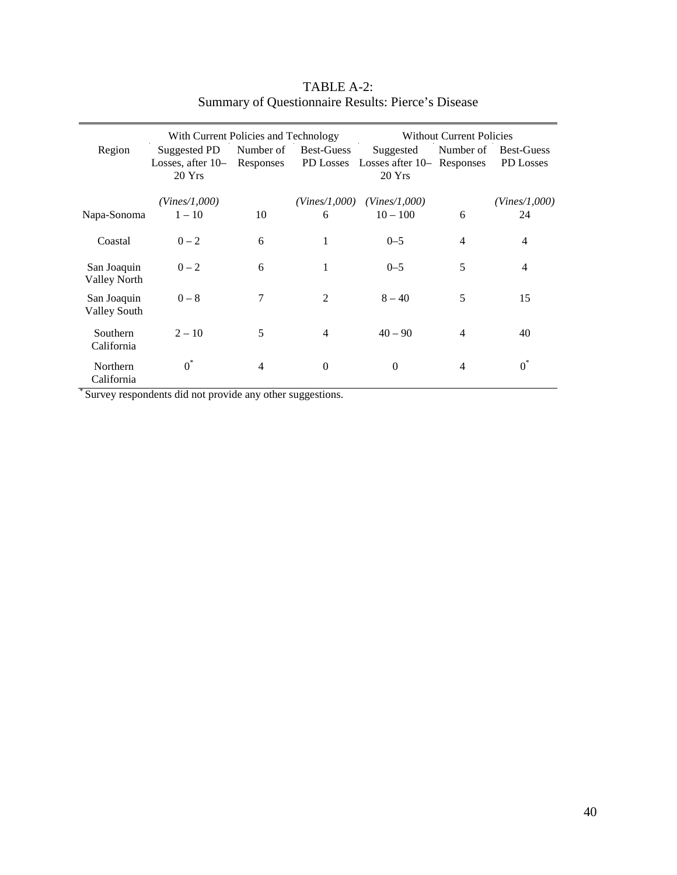|                                    | With Current Policies and Technology          |                        |                                       |                                                     | <b>Without Current Policies</b> |                                |
|------------------------------------|-----------------------------------------------|------------------------|---------------------------------------|-----------------------------------------------------|---------------------------------|--------------------------------|
| Region                             | Suggested PD<br>Losses, after $10-$<br>20 Yrs | Number of<br>Responses | <b>Best-Guess</b><br><b>PD Losses</b> | Suggested<br>Losses after $10-$ Responses<br>20 Yrs | Number of                       | <b>Best-Guess</b><br>PD Losses |
|                                    | (Vines/1,000)                                 |                        |                                       | $(Vines/1,000)$ $(Vines/1,000)$                     |                                 | (Vines/1,000)                  |
| Napa-Sonoma                        | $1 - 10$                                      | 10                     | 6                                     | $10 - 100$                                          | 6                               | 24                             |
| Coastal                            | $0 - 2$                                       | 6                      | 1                                     | $0 - 5$                                             | 4                               | 4                              |
| San Joaquin<br><b>Valley North</b> | $0 - 2$                                       | 6                      | 1                                     | $0 - 5$                                             | 5                               | $\overline{4}$                 |
| San Joaquin<br><b>Valley South</b> | $0 - 8$                                       | 7                      | 2                                     | $8 - 40$                                            | 5                               | 15                             |
| Southern<br>California             | $2 - 10$                                      | 5                      | $\overline{4}$                        | $40 - 90$                                           | 4                               | 40                             |
| <b>Northern</b><br>California      | $0^*$                                         | 4                      | $\theta$                              | $\theta$                                            | 4                               | $0^*$                          |

# TABLE A-2: Summary of Questionnaire Results: Pierce's Disease

\* Survey respondents did not provide any other suggestions.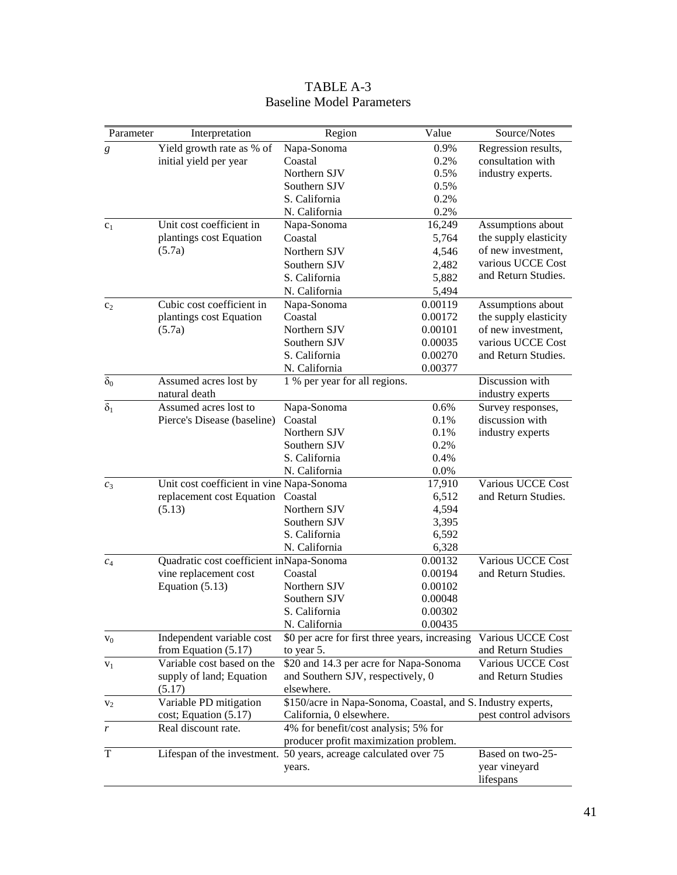| Parameter        | Interpretation                            | Region                                                           | Value   | Source/Notes               |  |
|------------------|-------------------------------------------|------------------------------------------------------------------|---------|----------------------------|--|
| $\boldsymbol{g}$ | Yield growth rate as % of                 | Napa-Sonoma                                                      | 0.9%    | Regression results,        |  |
|                  | initial yield per year                    | Coastal                                                          | 0.2%    | consultation with          |  |
|                  |                                           | Northern SJV                                                     | 0.5%    | industry experts.          |  |
|                  |                                           | Southern SJV                                                     | 0.5%    |                            |  |
|                  |                                           | S. California                                                    | 0.2%    |                            |  |
|                  |                                           | N. California                                                    | 0.2%    |                            |  |
| c <sub>1</sub>   | Unit cost coefficient in                  | Napa-Sonoma                                                      | 16,249  | Assumptions about          |  |
|                  | plantings cost Equation                   | Coastal                                                          | 5,764   | the supply elasticity      |  |
|                  | (5.7a)                                    | Northern SJV                                                     | 4,546   | of new investment,         |  |
|                  |                                           | Southern SJV                                                     | 2,482   | various UCCE Cost          |  |
|                  |                                           | S. California                                                    | 5,882   | and Return Studies.        |  |
|                  |                                           | N. California                                                    | 5,494   |                            |  |
| c <sub>2</sub>   | Cubic cost coefficient in                 | Napa-Sonoma                                                      | 0.00119 | Assumptions about          |  |
|                  | plantings cost Equation                   | Coastal                                                          | 0.00172 | the supply elasticity      |  |
|                  | (5.7a)                                    | Northern SJV                                                     | 0.00101 | of new investment,         |  |
|                  |                                           | Southern SJV                                                     | 0.00035 | various UCCE Cost          |  |
|                  |                                           | S. California                                                    | 0.00270 | and Return Studies.        |  |
|                  |                                           | N. California                                                    | 0.00377 |                            |  |
| $\delta_0$       | Assumed acres lost by                     | 1 % per year for all regions.                                    |         | Discussion with            |  |
|                  | natural death                             |                                                                  |         | industry experts           |  |
| $\delta_1$       | Assumed acres lost to                     | Napa-Sonoma                                                      | 0.6%    | Survey responses,          |  |
|                  | Pierce's Disease (baseline)               | Coastal                                                          | 0.1%    | discussion with            |  |
|                  |                                           | Northern SJV                                                     | 0.1%    | industry experts           |  |
|                  |                                           | Southern SJV                                                     | 0.2%    |                            |  |
|                  |                                           | S. California                                                    | 0.4%    |                            |  |
|                  |                                           | N. California                                                    | 0.0%    |                            |  |
| $c_3$            | Unit cost coefficient in vine Napa-Sonoma |                                                                  | 17,910  | Various UCCE Cost          |  |
|                  | replacement cost Equation                 | Coastal                                                          | 6,512   | and Return Studies.        |  |
|                  | (5.13)                                    | Northern SJV                                                     | 4,594   |                            |  |
|                  |                                           | Southern SJV                                                     | 3,395   |                            |  |
|                  |                                           | S. California                                                    | 6,592   |                            |  |
|                  |                                           | N. California                                                    | 6,328   |                            |  |
| $c_4$            | Quadratic cost coefficient inNapa-Sonoma  |                                                                  | 0.00132 | Various UCCE Cost          |  |
|                  | vine replacement cost                     | Coastal                                                          | 0.00194 | and Return Studies.        |  |
|                  | Equation $(5.13)$                         | Northern SJV                                                     | 0.00102 |                            |  |
|                  |                                           | Southern SJV                                                     | 0.00048 |                            |  |
|                  |                                           | S. California                                                    | 0.00302 |                            |  |
|                  |                                           | N. California                                                    | 0.00435 |                            |  |
| $V_0$            | Independent variable cost                 | \$0 per acre for first three years, increasing                   |         | Various UCCE Cost          |  |
|                  | from Equation $(5.17)$                    | to year 5.                                                       |         | and Return Studies         |  |
| $V_1$            | Variable cost based on the                | \$20 and 14.3 per acre for Napa-Sonoma                           |         | Various UCCE Cost          |  |
|                  | supply of land; Equation                  | and Southern SJV, respectively, 0                                |         | and Return Studies         |  |
|                  | (5.17)                                    | elsewhere.                                                       |         |                            |  |
| $V_2$            | Variable PD mitigation                    | \$150/acre in Napa-Sonoma, Coastal, and S. Industry experts,     |         |                            |  |
|                  | cost; Equation (5.17)                     | California, 0 elsewhere.                                         |         | pest control advisors      |  |
| r                | Real discount rate.                       | 4% for benefit/cost analysis; 5% for                             |         |                            |  |
|                  |                                           | producer profit maximization problem.                            |         |                            |  |
| T                |                                           | Lifespan of the investment. 50 years, acreage calculated over 75 |         | Based on two-25-           |  |
|                  |                                           | years.                                                           |         | year vineyard<br>lifespans |  |

# TABLE A-3 Baseline Model Parameters